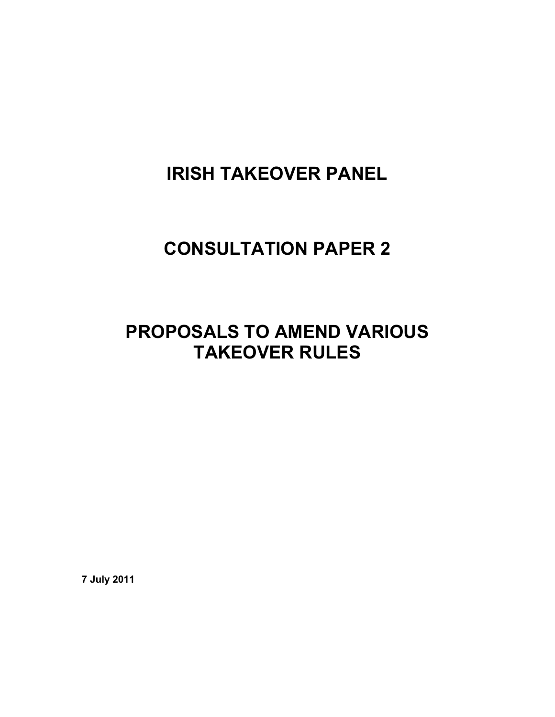# **IRISH TAKEOVER PANEL**

# **CONSULTATION PAPER 2**

## **PROPOSALS TO AMEND VARIOUS TAKEOVER RULES**

**7 July 2011**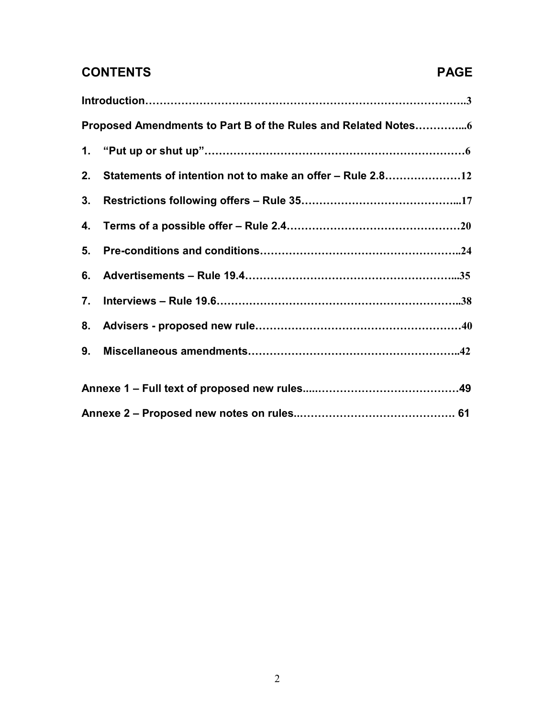## **CONTENTS PAGE**

| 2. |  |
|----|--|
| 3. |  |
| 4. |  |
| 5. |  |
| 6. |  |
| 7. |  |
| 8. |  |
| 9. |  |
|    |  |
|    |  |
|    |  |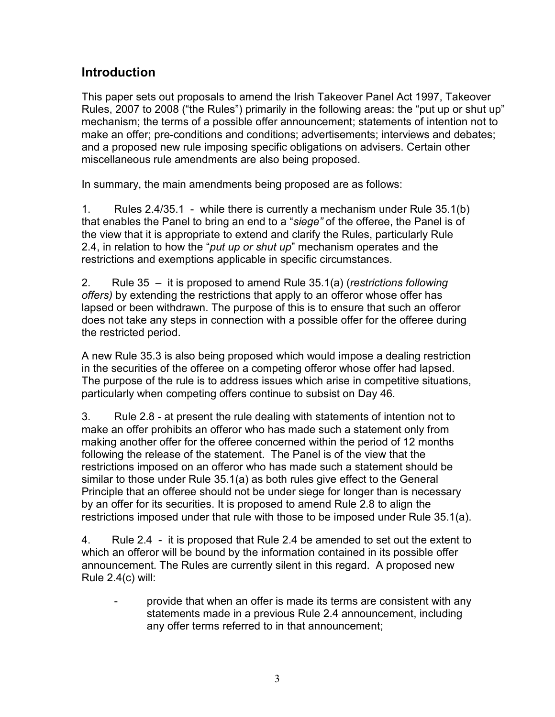### **Introduction**

This paper sets out proposals to amend the Irish Takeover Panel Act 1997, Takeover Rules, 2007 to 2008 ("the Rules") primarily in the following areas: the "put up or shut up" mechanism; the terms of a possible offer announcement; statements of intention not to make an offer; pre-conditions and conditions; advertisements; interviews and debates; and a proposed new rule imposing specific obligations on advisers. Certain other miscellaneous rule amendments are also being proposed.

In summary, the main amendments being proposed are as follows:

1. Rules 2.4/35.1 - while there is currently a mechanism under Rule 35.1(b) that enables the Panel to bring an end to a "*siege"* of the offeree, the Panel is of the view that it is appropriate to extend and clarify the Rules, particularly Rule 2.4, in relation to how the "*put up or shut up*" mechanism operates and the restrictions and exemptions applicable in specific circumstances.

2. Rule 35 – it is proposed to amend Rule 35.1(a) (*restrictions following offers)* by extending the restrictions that apply to an offeror whose offer has lapsed or been withdrawn. The purpose of this is to ensure that such an offeror does not take any steps in connection with a possible offer for the offeree during the restricted period.

A new Rule 35.3 is also being proposed which would impose a dealing restriction in the securities of the offeree on a competing offeror whose offer had lapsed. The purpose of the rule is to address issues which arise in competitive situations, particularly when competing offers continue to subsist on Day 46.

3. Rule 2.8 - at present the rule dealing with statements of intention not to make an offer prohibits an offeror who has made such a statement only from making another offer for the offeree concerned within the period of 12 months following the release of the statement. The Panel is of the view that the restrictions imposed on an offeror who has made such a statement should be similar to those under Rule 35.1(a) as both rules give effect to the General Principle that an offeree should not be under siege for longer than is necessary by an offer for its securities. It is proposed to amend Rule 2.8 to align the restrictions imposed under that rule with those to be imposed under Rule 35.1(a).

4. Rule 2.4 - it is proposed that Rule 2.4 be amended to set out the extent to which an offeror will be bound by the information contained in its possible offer announcement. The Rules are currently silent in this regard. A proposed new Rule 2.4(c) will:

provide that when an offer is made its terms are consistent with any statements made in a previous Rule 2.4 announcement, including any offer terms referred to in that announcement;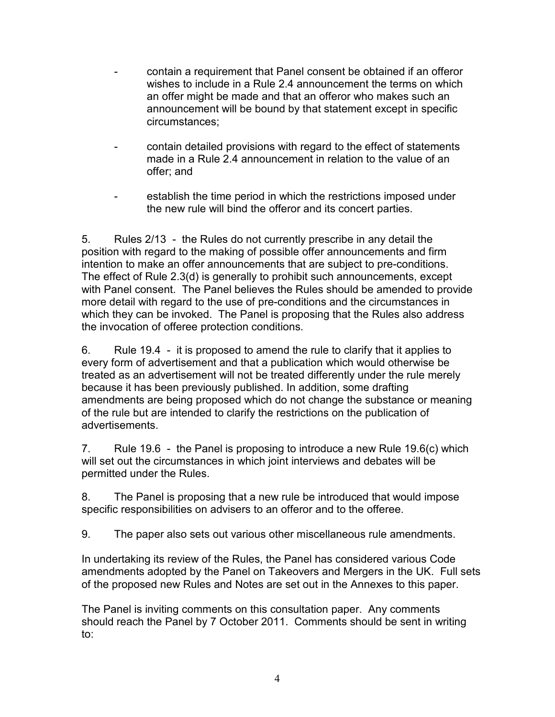- contain a requirement that Panel consent be obtained if an offeror wishes to include in a Rule 2.4 announcement the terms on which an offer might be made and that an offeror who makes such an announcement will be bound by that statement except in specific circumstances;
- contain detailed provisions with regard to the effect of statements made in a Rule 2.4 announcement in relation to the value of an offer; and
- establish the time period in which the restrictions imposed under the new rule will bind the offeror and its concert parties.

5. Rules 2/13 - the Rules do not currently prescribe in any detail the position with regard to the making of possible offer announcements and firm intention to make an offer announcements that are subject to pre-conditions. The effect of Rule 2.3(d) is generally to prohibit such announcements, except with Panel consent. The Panel believes the Rules should be amended to provide more detail with regard to the use of pre-conditions and the circumstances in which they can be invoked. The Panel is proposing that the Rules also address the invocation of offeree protection conditions.

6. Rule 19.4 - it is proposed to amend the rule to clarify that it applies to every form of advertisement and that a publication which would otherwise be treated as an advertisement will not be treated differently under the rule merely because it has been previously published. In addition, some drafting amendments are being proposed which do not change the substance or meaning of the rule but are intended to clarify the restrictions on the publication of advertisements.

7. Rule 19.6 - the Panel is proposing to introduce a new Rule 19.6(c) which will set out the circumstances in which joint interviews and debates will be permitted under the Rules.

8. The Panel is proposing that a new rule be introduced that would impose specific responsibilities on advisers to an offeror and to the offeree.

9. The paper also sets out various other miscellaneous rule amendments.

In undertaking its review of the Rules, the Panel has considered various Code amendments adopted by the Panel on Takeovers and Mergers in the UK. Full sets of the proposed new Rules and Notes are set out in the Annexes to this paper.

The Panel is inviting comments on this consultation paper. Any comments should reach the Panel by 7 October 2011. Comments should be sent in writing to: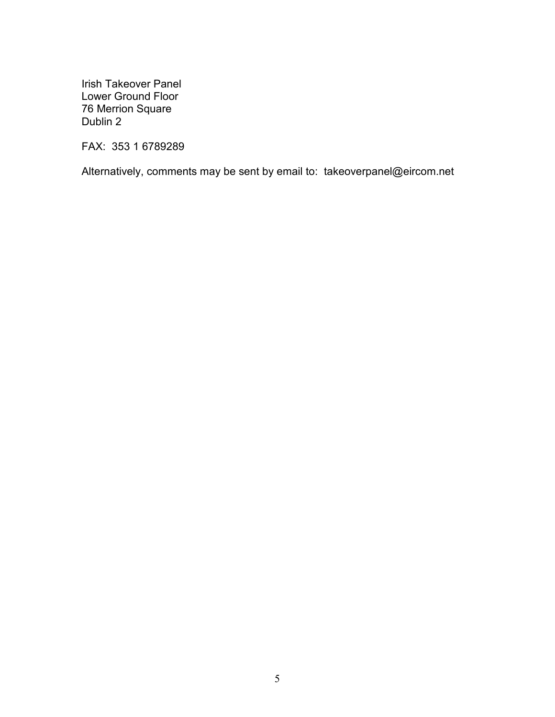Irish Takeover Panel Lower Ground Floor 76 Merrion Square Dublin 2

FAX: 353 1 6789289

Alternatively, comments may be sent by email to: takeoverpanel@eircom.net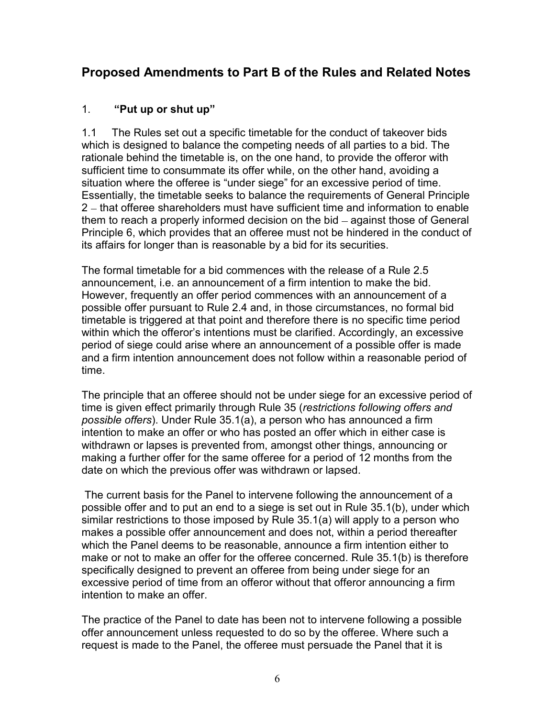## **Proposed Amendments to Part B of the Rules and Related Notes**

### 1. **"Put up or shut up"**

1.1 The Rules set out a specific timetable for the conduct of takeover bids which is designed to balance the competing needs of all parties to a bid. The rationale behind the timetable is, on the one hand, to provide the offeror with sufficient time to consummate its offer while, on the other hand, avoiding a situation where the offeree is "under siege" for an excessive period of time. Essentially, the timetable seeks to balance the requirements of General Principle 2 – that offeree shareholders must have sufficient time and information to enable them to reach a properly informed decision on the bid – against those of General Principle 6, which provides that an offeree must not be hindered in the conduct of its affairs for longer than is reasonable by a bid for its securities.

The formal timetable for a bid commences with the release of a Rule 2.5 announcement, i.e. an announcement of a firm intention to make the bid. However, frequently an offer period commences with an announcement of a possible offer pursuant to Rule 2.4 and, in those circumstances, no formal bid timetable is triggered at that point and therefore there is no specific time period within which the offeror's intentions must be clarified. Accordingly, an excessive period of siege could arise where an announcement of a possible offer is made and a firm intention announcement does not follow within a reasonable period of time.

The principle that an offeree should not be under siege for an excessive period of time is given effect primarily through Rule 35 (*restrictions following offers and possible offers*). Under Rule 35.1(a), a person who has announced a firm intention to make an offer or who has posted an offer which in either case is withdrawn or lapses is prevented from, amongst other things, announcing or making a further offer for the same offeree for a period of 12 months from the date on which the previous offer was withdrawn or lapsed.

 The current basis for the Panel to intervene following the announcement of a possible offer and to put an end to a siege is set out in Rule 35.1(b), under which similar restrictions to those imposed by Rule 35.1(a) will apply to a person who makes a possible offer announcement and does not, within a period thereafter which the Panel deems to be reasonable, announce a firm intention either to make or not to make an offer for the offeree concerned. Rule 35.1(b) is therefore specifically designed to prevent an offeree from being under siege for an excessive period of time from an offeror without that offeror announcing a firm intention to make an offer.

The practice of the Panel to date has been not to intervene following a possible offer announcement unless requested to do so by the offeree. Where such a request is made to the Panel, the offeree must persuade the Panel that it is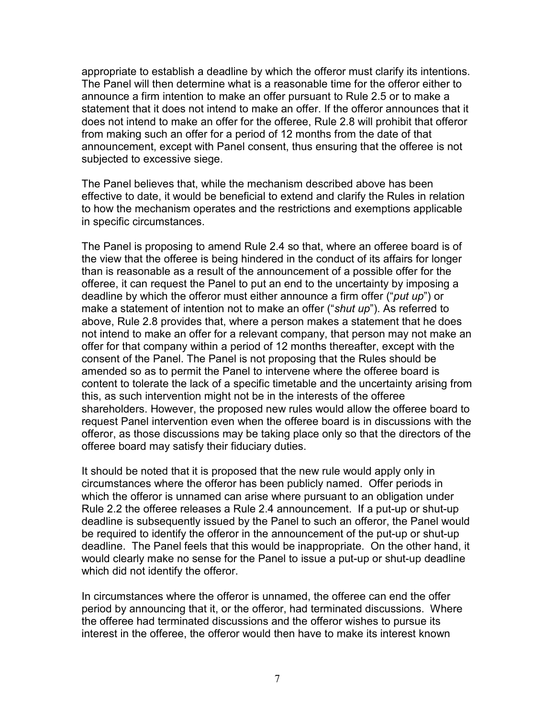appropriate to establish a deadline by which the offeror must clarify its intentions. The Panel will then determine what is a reasonable time for the offeror either to announce a firm intention to make an offer pursuant to Rule 2.5 or to make a statement that it does not intend to make an offer. If the offeror announces that it does not intend to make an offer for the offeree, Rule 2.8 will prohibit that offeror from making such an offer for a period of 12 months from the date of that announcement, except with Panel consent, thus ensuring that the offeree is not subjected to excessive siege.

The Panel believes that, while the mechanism described above has been effective to date, it would be beneficial to extend and clarify the Rules in relation to how the mechanism operates and the restrictions and exemptions applicable in specific circumstances.

The Panel is proposing to amend Rule 2.4 so that, where an offeree board is of the view that the offeree is being hindered in the conduct of its affairs for longer than is reasonable as a result of the announcement of a possible offer for the offeree, it can request the Panel to put an end to the uncertainty by imposing a deadline by which the offeror must either announce a firm offer ("*put up*") or make a statement of intention not to make an offer ("*shut up*"). As referred to above, Rule 2.8 provides that, where a person makes a statement that he does not intend to make an offer for a relevant company, that person may not make an offer for that company within a period of 12 months thereafter, except with the consent of the Panel. The Panel is not proposing that the Rules should be amended so as to permit the Panel to intervene where the offeree board is content to tolerate the lack of a specific timetable and the uncertainty arising from this, as such intervention might not be in the interests of the offeree shareholders. However, the proposed new rules would allow the offeree board to request Panel intervention even when the offeree board is in discussions with the offeror, as those discussions may be taking place only so that the directors of the offeree board may satisfy their fiduciary duties.

It should be noted that it is proposed that the new rule would apply only in circumstances where the offeror has been publicly named. Offer periods in which the offeror is unnamed can arise where pursuant to an obligation under Rule 2.2 the offeree releases a Rule 2.4 announcement. If a put-up or shut-up deadline is subsequently issued by the Panel to such an offeror, the Panel would be required to identify the offeror in the announcement of the put-up or shut-up deadline. The Panel feels that this would be inappropriate. On the other hand, it would clearly make no sense for the Panel to issue a put-up or shut-up deadline which did not identify the offeror.

In circumstances where the offeror is unnamed, the offeree can end the offer period by announcing that it, or the offeror, had terminated discussions. Where the offeree had terminated discussions and the offeror wishes to pursue its interest in the offeree, the offeror would then have to make its interest known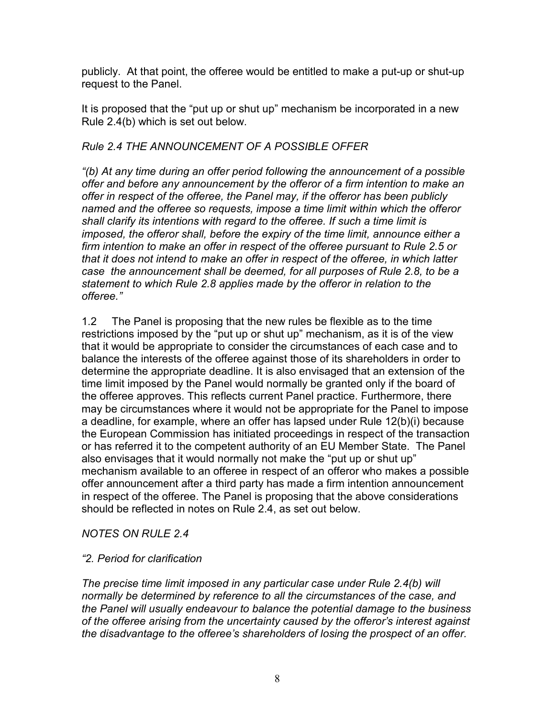publicly. At that point, the offeree would be entitled to make a put-up or shut-up request to the Panel.

It is proposed that the "put up or shut up" mechanism be incorporated in a new Rule 2.4(b) which is set out below.

### *Rule 2.4 THE ANNOUNCEMENT OF A POSSIBLE OFFER*

*"(b) At any time during an offer period following the announcement of a possible offer and before any announcement by the offeror of a firm intention to make an offer in respect of the offeree, the Panel may, if the offeror has been publicly named and the offeree so requests, impose a time limit within which the offeror shall clarify its intentions with regard to the offeree. If such a time limit is imposed, the offeror shall, before the expiry of the time limit, announce either a firm intention to make an offer in respect of the offeree pursuant to Rule 2.5 or that it does not intend to make an offer in respect of the offeree, in which latter case the announcement shall be deemed, for all purposes of Rule 2.8, to be a statement to which Rule 2.8 applies made by the offeror in relation to the offeree."* 

1.2 The Panel is proposing that the new rules be flexible as to the time restrictions imposed by the "put up or shut up" mechanism, as it is of the view that it would be appropriate to consider the circumstances of each case and to balance the interests of the offeree against those of its shareholders in order to determine the appropriate deadline. It is also envisaged that an extension of the time limit imposed by the Panel would normally be granted only if the board of the offeree approves. This reflects current Panel practice. Furthermore, there may be circumstances where it would not be appropriate for the Panel to impose a deadline, for example, where an offer has lapsed under Rule 12(b)(i) because the European Commission has initiated proceedings in respect of the transaction or has referred it to the competent authority of an EU Member State.The Panel also envisages that it would normally not make the "put up or shut up" mechanism available to an offeree in respect of an offeror who makes a possible offer announcement after a third party has made a firm intention announcement in respect of the offeree. The Panel is proposing that the above considerations should be reflected in notes on Rule 2.4, as set out below.

#### *NOTES ON RULE 2.4*

#### *"2. Period for clarification*

*The precise time limit imposed in any particular case under Rule 2.4(b) will normally be determined by reference to all the circumstances of the case, and the Panel will usually endeavour to balance the potential damage to the business of the offeree arising from the uncertainty caused by the offeror's interest against the disadvantage to the offeree's shareholders of losing the prospect of an offer.*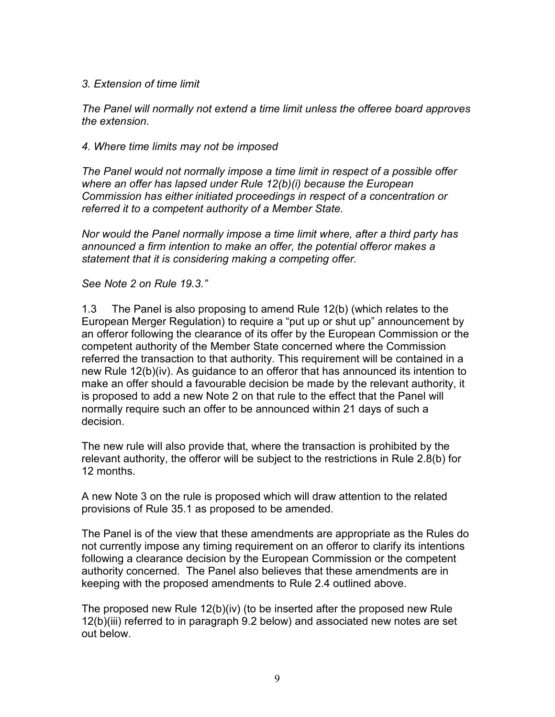#### *3. Extension of time limit*

*The Panel will normally not extend a time limit unless the offeree board approves the extension.* 

#### *4. Where time limits may not be imposed*

*The Panel would not normally impose a time limit in respect of a possible offer where an offer has lapsed under Rule 12(b)(i) because the European Commission has either initiated proceedings in respect of a concentration or referred it to a competent authority of a Member State.* 

*Nor would the Panel normally impose a time limit where, after a third party has announced a firm intention to make an offer, the potential offeror makes a statement that it is considering making a competing offer.* 

#### *See Note 2 on Rule 19.3."*

1.3 The Panel is also proposing to amend Rule 12(b) (which relates to the European Merger Regulation) to require a "put up or shut up" announcement by an offeror following the clearance of its offer by the European Commission or the competent authority of the Member State concerned where the Commission referred the transaction to that authority. This requirement will be contained in a new Rule 12(b)(iv). As guidance to an offeror that has announced its intention to make an offer should a favourable decision be made by the relevant authority, it is proposed to add a new Note 2 on that rule to the effect that the Panel will normally require such an offer to be announced within 21 days of such a decision.

The new rule will also provide that, where the transaction is prohibited by the relevant authority, the offeror will be subject to the restrictions in Rule 2.8(b) for 12 months.

A new Note 3 on the rule is proposed which will draw attention to the related provisions of Rule 35.1 as proposed to be amended.

The Panel is of the view that these amendments are appropriate as the Rules do not currently impose any timing requirement on an offeror to clarify its intentions following a clearance decision by the European Commission or the competent authority concerned. The Panel also believes that these amendments are in keeping with the proposed amendments to Rule 2.4 outlined above.

The proposed new Rule 12(b)(iv) (to be inserted after the proposed new Rule 12(b)(iii) referred to in paragraph 9.2 below) and associated new notes are set out below.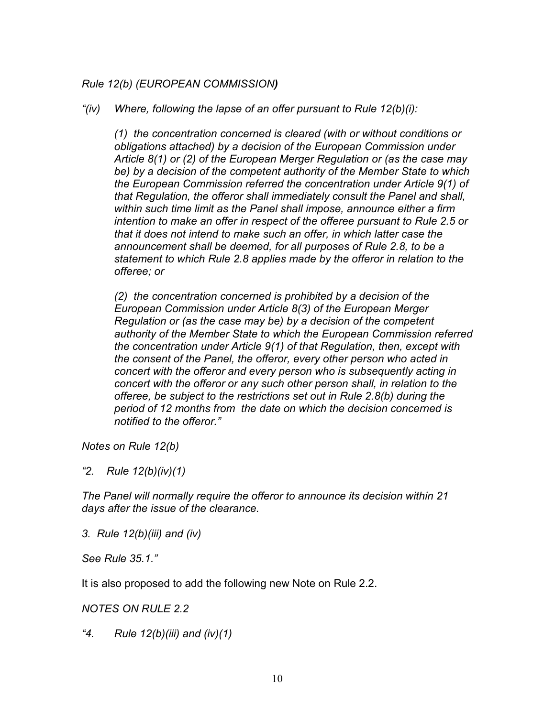#### *Rule 12(b) (EUROPEAN COMMISSION)*

#### *"(iv) Where, following the lapse of an offer pursuant to Rule 12(b)(i):*

*(1) the concentration concerned is cleared (with or without conditions or obligations attached) by a decision of the European Commission under Article 8(1) or (2) of the European Merger Regulation or (as the case may be) by a decision of the competent authority of the Member State to which the European Commission referred the concentration under Article 9(1) of that Regulation, the offeror shall immediately consult the Panel and shall, within such time limit as the Panel shall impose, announce either a firm intention to make an offer in respect of the offeree pursuant to Rule 2.5 or that it does not intend to make such an offer, in which latter case the announcement shall be deemed, for all purposes of Rule 2.8, to be a statement to which Rule 2.8 applies made by the offeror in relation to the offeree; or* 

*(2) the concentration concerned is prohibited by a decision of the European Commission under Article 8(3) of the European Merger Regulation or (as the case may be) by a decision of the competent authority of the Member State to which the European Commission referred the concentration under Article 9(1) of that Regulation, then, except with the consent of the Panel, the offeror, every other person who acted in concert with the offeror and every person who is subsequently acting in concert with the offeror or any such other person shall, in relation to the offeree, be subject to the restrictions set out in Rule 2.8(b) during the period of 12 months from the date on which the decision concerned is notified to the offeror."* 

*Notes on Rule 12(b)* 

*"2. Rule 12(b)(iv)(1)* 

*The Panel will normally require the offeror to announce its decision within 21 days after the issue of the clearance.* 

*3. Rule 12(b)(iii) and (iv)* 

*See Rule 35.1."* 

It is also proposed to add the following new Note on Rule 2.2.

*NOTES ON RULE 2.2* 

*"4. Rule 12(b)(iii) and (iv)(1)*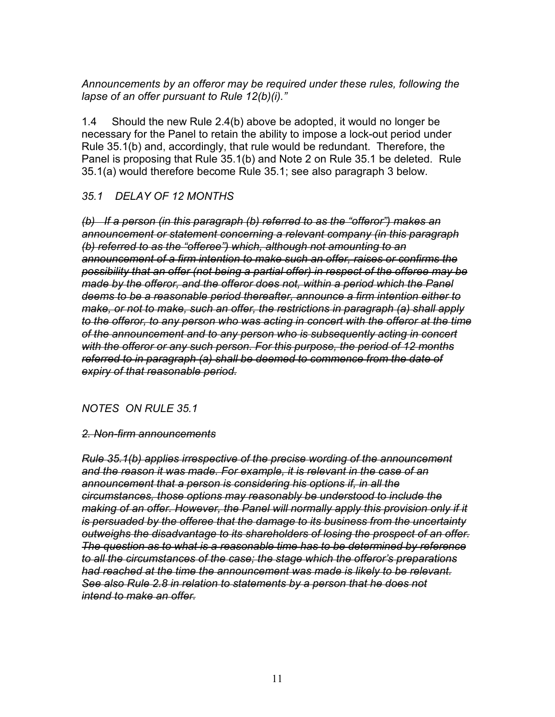*Announcements by an offeror may be required under these rules, following the lapse of an offer pursuant to Rule 12(b)(i)."* 

1.4 Should the new Rule 2.4(b) above be adopted, it would no longer be necessary for the Panel to retain the ability to impose a lock-out period under Rule 35.1(b) and, accordingly, that rule would be redundant. Therefore, the Panel is proposing that Rule 35.1(b) and Note 2 on Rule 35.1 be deleted. Rule 35.1(a) would therefore become Rule 35.1; see also paragraph 3 below.

### *35.1 DELAY OF 12 MONTHS*

*(b) If a person (in this paragraph (b) referred to as the "offeror") makes an announcement or statement concerning a relevant company (in this paragraph (b) referred to as the "offeree") which, although not amounting to an announcement of a firm intention to make such an offer, raises or confirms the possibility that an offer (not being a partial offer) in respect of the offeree may be made by the offeror, and the offeror does not, within a period which the Panel deems to be a reasonable period thereafter, announce a firm intention either to make, or not to make, such an offer, the restrictions in paragraph (a) shall apply*  to the offeror, to any person who was acting in concert with the offeror at the time *of the announcement and to any person who is subsequently acting in concert with the offeror or any such person. For this purpose, the period of 12 months referred to in paragraph (a) shall be deemed to commence from the date of expiry of that reasonable period.*

#### *NOTES ON RULE 35.1*

#### *2. Non-firm announcements*

*Rule 35.1(b) applies irrespective of the precise wording of the announcement and the reason it was made. For example, it is relevant in the case of an announcement that a person is considering his options if, in all the circumstances, those options may reasonably be understood to include the making of an offer. However, the Panel will normally apply this provision only if it is persuaded by the offeree that the damage to its business from the uncertainty outweighs the disadvantage to its shareholders of losing the prospect of an offer. The question as to what is a reasonable time has to be determined by reference to all the circumstances of the case; the stage which the offeror's preparations had reached at the time the announcement was made is likely to be relevant. See also Rule 2.8 in relation to statements by a person that he does not intend to make an offer.*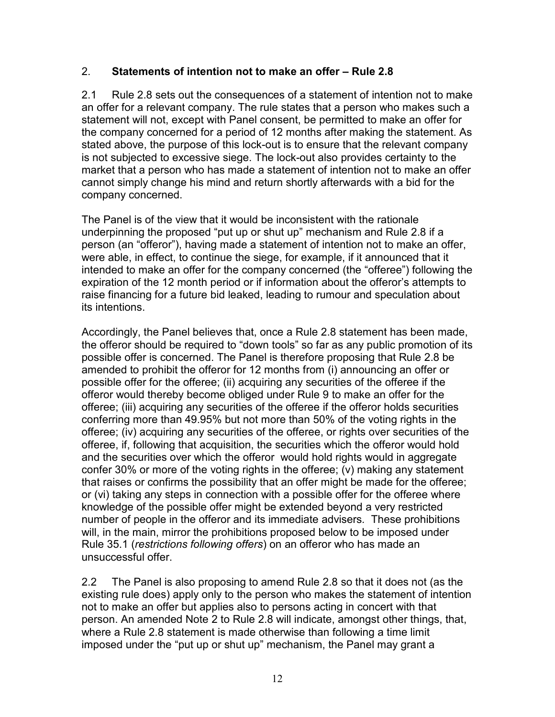#### 2. **Statements of intention not to make an offer – Rule 2.8**

2.1 Rule 2.8 sets out the consequences of a statement of intention not to make an offer for a relevant company. The rule states that a person who makes such a statement will not, except with Panel consent, be permitted to make an offer for the company concerned for a period of 12 months after making the statement. As stated above, the purpose of this lock-out is to ensure that the relevant company is not subjected to excessive siege. The lock-out also provides certainty to the market that a person who has made a statement of intention not to make an offer cannot simply change his mind and return shortly afterwards with a bid for the company concerned.

The Panel is of the view that it would be inconsistent with the rationale underpinning the proposed "put up or shut up" mechanism and Rule 2.8 if a person (an "offeror"), having made a statement of intention not to make an offer, were able, in effect, to continue the siege, for example, if it announced that it intended to make an offer for the company concerned (the "offeree") following the expiration of the 12 month period or if information about the offeror's attempts to raise financing for a future bid leaked, leading to rumour and speculation about its intentions.

Accordingly, the Panel believes that, once a Rule 2.8 statement has been made, the offeror should be required to "down tools" so far as any public promotion of its possible offer is concerned. The Panel is therefore proposing that Rule 2.8 be amended to prohibit the offeror for 12 months from (i) announcing an offer or possible offer for the offeree; (ii) acquiring any securities of the offeree if the offeror would thereby become obliged under Rule 9 to make an offer for the offeree; (iii) acquiring any securities of the offeree if the offeror holds securities conferring more than 49.95% but not more than 50% of the voting rights in the offeree; (iv) acquiring any securities of the offeree, or rights over securities of the offeree, if, following that acquisition, the securities which the offeror would hold and the securities over which the offeror would hold rights would in aggregate confer 30% or more of the voting rights in the offeree; (v) making any statement that raises or confirms the possibility that an offer might be made for the offeree; or (vi) taking any steps in connection with a possible offer for the offeree where knowledge of the possible offer might be extended beyond a very restricted number of people in the offeror and its immediate advisers*.* These prohibitions will, in the main, mirror the prohibitions proposed below to be imposed under Rule 35.1 (*restrictions following offers*) on an offeror who has made an unsuccessful offer.

2.2 The Panel is also proposing to amend Rule 2.8 so that it does not (as the existing rule does) apply only to the person who makes the statement of intention not to make an offer but applies also to persons acting in concert with that person. An amended Note 2 to Rule 2.8 will indicate, amongst other things, that, where a Rule 2.8 statement is made otherwise than following a time limit imposed under the "put up or shut up" mechanism, the Panel may grant a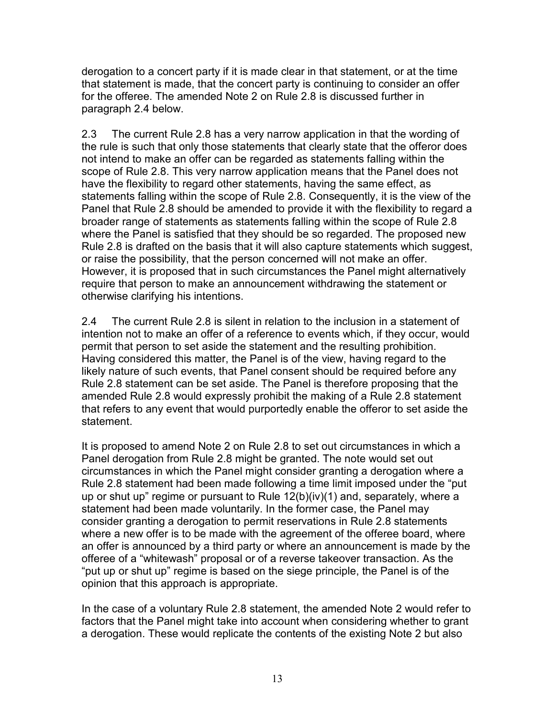derogation to a concert party if it is made clear in that statement, or at the time that statement is made, that the concert party is continuing to consider an offer for the offeree. The amended Note 2 on Rule 2.8 is discussed further in paragraph 2.4 below.

2.3 The current Rule 2.8 has a very narrow application in that the wording of the rule is such that only those statements that clearly state that the offeror does not intend to make an offer can be regarded as statements falling within the scope of Rule 2.8. This very narrow application means that the Panel does not have the flexibility to regard other statements, having the same effect, as statements falling within the scope of Rule 2.8. Consequently, it is the view of the Panel that Rule 2.8 should be amended to provide it with the flexibility to regard a broader range of statements as statements falling within the scope of Rule 2.8 where the Panel is satisfied that they should be so regarded. The proposed new Rule 2.8 is drafted on the basis that it will also capture statements which suggest, or raise the possibility, that the person concerned will not make an offer. However, it is proposed that in such circumstances the Panel might alternatively require that person to make an announcement withdrawing the statement or otherwise clarifying his intentions.

2.4 The current Rule 2.8 is silent in relation to the inclusion in a statement of intention not to make an offer of a reference to events which, if they occur, would permit that person to set aside the statement and the resulting prohibition. Having considered this matter, the Panel is of the view, having regard to the likely nature of such events, that Panel consent should be required before any Rule 2.8 statement can be set aside. The Panel is therefore proposing that the amended Rule 2.8 would expressly prohibit the making of a Rule 2.8 statement that refers to any event that would purportedly enable the offeror to set aside the statement.

It is proposed to amend Note 2 on Rule 2.8 to set out circumstances in which a Panel derogation from Rule 2.8 might be granted. The note would set out circumstances in which the Panel might consider granting a derogation where a Rule 2.8 statement had been made following a time limit imposed under the "put up or shut up" regime or pursuant to Rule 12(b)(iv)(1) and, separately, where a statement had been made voluntarily. In the former case, the Panel may consider granting a derogation to permit reservations in Rule 2.8 statements where a new offer is to be made with the agreement of the offeree board, where an offer is announced by a third party or where an announcement is made by the offeree of a "whitewash" proposal or of a reverse takeover transaction. As the "put up or shut up" regime is based on the siege principle, the Panel is of the opinion that this approach is appropriate.

In the case of a voluntary Rule 2.8 statement, the amended Note 2 would refer to factors that the Panel might take into account when considering whether to grant a derogation. These would replicate the contents of the existing Note 2 but also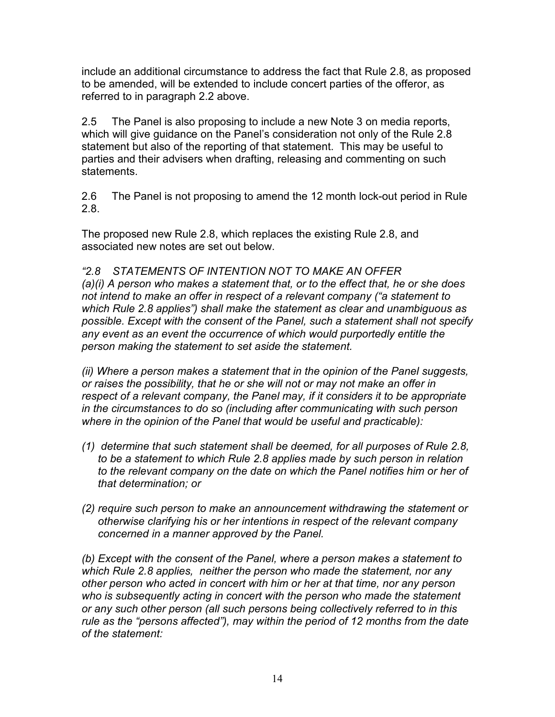include an additional circumstance to address the fact that Rule 2.8, as proposed to be amended, will be extended to include concert parties of the offeror, as referred to in paragraph 2.2 above.

2.5 The Panel is also proposing to include a new Note 3 on media reports, which will give guidance on the Panel's consideration not only of the Rule 2.8 statement but also of the reporting of that statement. This may be useful to parties and their advisers when drafting, releasing and commenting on such statements.

2.6 The Panel is not proposing to amend the 12 month lock-out period in Rule 2.8.

The proposed new Rule 2.8, which replaces the existing Rule 2.8, and associated new notes are set out below.

#### *"2.8 STATEMENTS OF INTENTION NOT TO MAKE AN OFFER (a)(i) A person who makes a statement that, or to the effect that, he or she does not intend to make an offer in respect of a relevant company ("a statement to which Rule 2.8 applies") shall make the statement as clear and unambiguous as possible. Except with the consent of the Panel, such a statement shall not specify any event as an event the occurrence of which would purportedly entitle the person making the statement to set aside the statement.*

*(ii) Where a person makes a statement that in the opinion of the Panel suggests, or raises the possibility, that he or she will not or may not make an offer in respect of a relevant company, the Panel may, if it considers it to be appropriate in the circumstances to do so (including after communicating with such person where in the opinion of the Panel that would be useful and practicable):*

- *(1) determine that such statement shall be deemed, for all purposes of Rule 2.8, to be a statement to which Rule 2.8 applies made by such person in relation to the relevant company on the date on which the Panel notifies him or her of that determination; or*
- *(2) require such person to make an announcement withdrawing the statement or otherwise clarifying his or her intentions in respect of the relevant company concerned in a manner approved by the Panel.*

*(b) Except with the consent of the Panel, where a person makes a statement to which Rule 2.8 applies, neither the person who made the statement, nor any other person who acted in concert with him or her at that time, nor any person who is subsequently acting in concert with the person who made the statement or any such other person (all such persons being collectively referred to in this rule as the "persons affected"), may within the period of 12 months from the date of the statement:*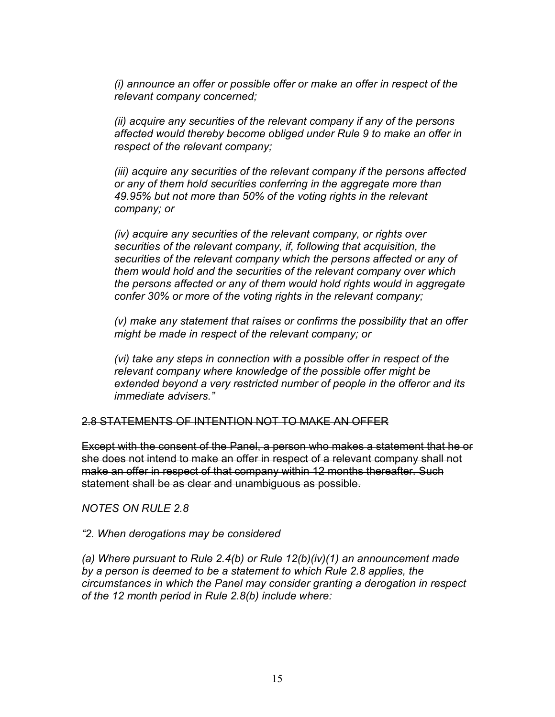*(i) announce an offer or possible offer or make an offer in respect of the relevant company concerned;* 

*(ii) acquire any securities of the relevant company if any of the persons affected would thereby become obliged under Rule 9 to make an offer in respect of the relevant company;* 

*(iii) acquire any securities of the relevant company if the persons affected or any of them hold securities conferring in the aggregate more than 49.95% but not more than 50% of the voting rights in the relevant company; or* 

*(iv) acquire any securities of the relevant company, or rights over securities of the relevant company, if, following that acquisition, the securities of the relevant company which the persons affected or any of them would hold and the securities of the relevant company over which the persons affected or any of them would hold rights would in aggregate confer 30% or more of the voting rights in the relevant company;* 

*(v) make any statement that raises or confirms the possibility that an offer might be made in respect of the relevant company; or* 

*(vi) take any steps in connection with a possible offer in respect of the relevant company where knowledge of the possible offer might be extended beyond a very restricted number of people in the offeror and its immediate advisers."* 

2.8 STATEMENTS OF INTENTION NOT TO MAKE AN OFFER

Except with the consent of the Panel, a person who makes a statement that he or she does not intend to make an offer in respect of a relevant company shall not make an offer in respect of that company within 12 months thereafter. Such statement shall be as clear and unambiguous as possible.

*NOTES ON RULE 2.8* 

*"2. When derogations may be considered* 

*(a) Where pursuant to Rule 2.4(b) or Rule 12(b)(iv)(1) an announcement made by a person is deemed to be a statement to which Rule 2.8 applies, the circumstances in which the Panel may consider granting a derogation in respect of the 12 month period in Rule 2.8(b) include where:*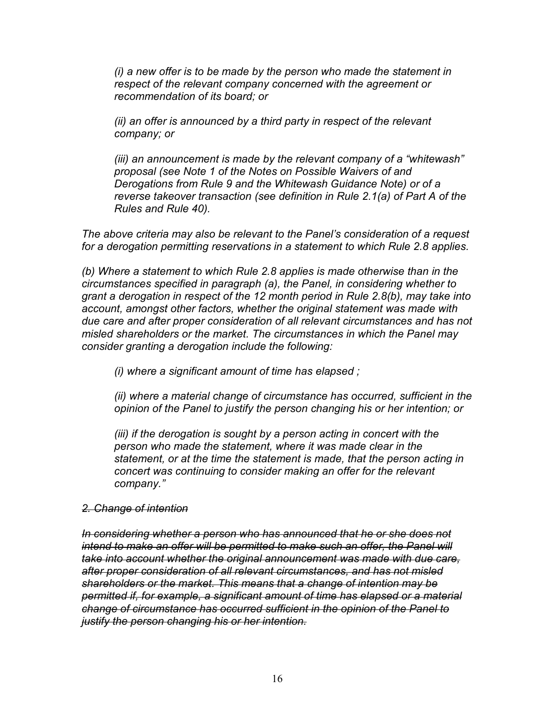*(i) a new offer is to be made by the person who made the statement in respect of the relevant company concerned with the agreement or recommendation of its board; or* 

*(ii) an offer is announced by a third party in respect of the relevant company; or* 

*(iii) an announcement is made by the relevant company of a "whitewash" proposal (see Note 1 of the Notes on Possible Waivers of and Derogations from Rule 9 and the Whitewash Guidance Note) or of a reverse takeover transaction (see definition in Rule 2.1(a) of Part A of the Rules and Rule 40).* 

*The above criteria may also be relevant to the Panel's consideration of a request for a derogation permitting reservations in a statement to which Rule 2.8 applies.*

*(b) Where a statement to which Rule 2.8 applies is made otherwise than in the circumstances specified in paragraph (a), the Panel, in considering whether to grant a derogation in respect of the 12 month period in Rule 2.8(b), may take into account, amongst other factors, whether the original statement was made with due care and after proper consideration of all relevant circumstances and has not misled shareholders or the market. The circumstances in which the Panel may consider granting a derogation include the following:* 

*(i) where a significant amount of time has elapsed ;* 

*(ii) where a material change of circumstance has occurred, sufficient in the opinion of the Panel to justify the person changing his or her intention; or* 

*(iii) if the derogation is sought by a person acting in concert with the person who made the statement, where it was made clear in the statement, or at the time the statement is made, that the person acting in concert was continuing to consider making an offer for the relevant company."* 

#### *2. Change of intention*

*In considering whether a person who has announced that he or she does not*  intend to make an offer will be permitted to make such an offer, the Panel will *take into account whether the original announcement was made with due care, after proper consideration of all relevant circumstances, and has not misled shareholders or the market. This means that a change of intention may be permitted if, for example, a significant amount of time has elapsed or a material change of circumstance has occurred sufficient in the opinion of the Panel to justify the person changing his or her intention.*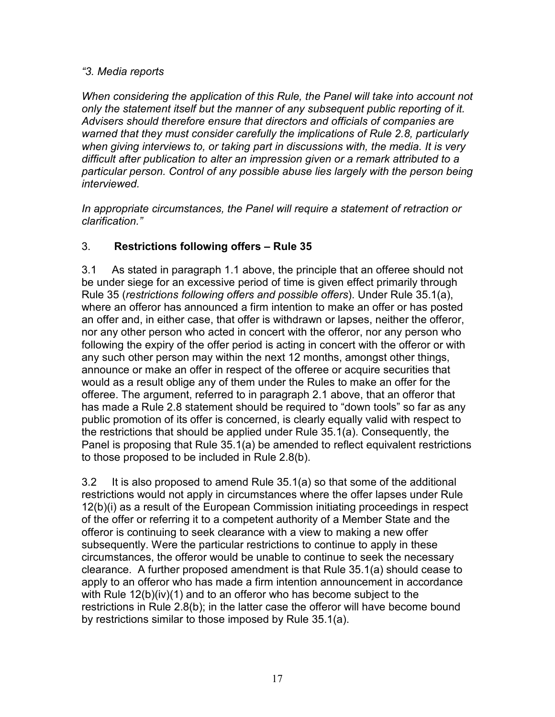#### *"3. Media reports*

*When considering the application of this Rule, the Panel will take into account not only the statement itself but the manner of any subsequent public reporting of it. Advisers should therefore ensure that directors and officials of companies are warned that they must consider carefully the implications of Rule 2.8, particularly when giving interviews to, or taking part in discussions with, the media. It is very difficult after publication to alter an impression given or a remark attributed to a*  particular person. Control of any possible abuse lies largely with the person being *interviewed.* 

*In appropriate circumstances, the Panel will require a statement of retraction or clarification."* 

### 3. **Restrictions following offers – Rule 35**

3.1 As stated in paragraph 1.1 above, the principle that an offeree should not be under siege for an excessive period of time is given effect primarily through Rule 35 (*restrictions following offers and possible offers*). Under Rule 35.1(a), where an offeror has announced a firm intention to make an offer or has posted an offer and, in either case, that offer is withdrawn or lapses, neither the offeror, nor any other person who acted in concert with the offeror, nor any person who following the expiry of the offer period is acting in concert with the offeror or with any such other person may within the next 12 months, amongst other things, announce or make an offer in respect of the offeree or acquire securities that would as a result oblige any of them under the Rules to make an offer for the offeree. The argument, referred to in paragraph 2.1 above, that an offeror that has made a Rule 2.8 statement should be required to "down tools" so far as any public promotion of its offer is concerned, is clearly equally valid with respect to the restrictions that should be applied under Rule 35.1(a). Consequently, the Panel is proposing that Rule 35.1(a) be amended to reflect equivalent restrictions to those proposed to be included in Rule 2.8(b).

3.2 It is also proposed to amend Rule 35.1(a) so that some of the additional restrictions would not apply in circumstances where the offer lapses under Rule 12(b)(i) as a result of the European Commission initiating proceedings in respect of the offer or referring it to a competent authority of a Member State and the offeror is continuing to seek clearance with a view to making a new offer subsequently. Were the particular restrictions to continue to apply in these circumstances, the offeror would be unable to continue to seek the necessary clearance. A further proposed amendment is that Rule 35.1(a) should cease to apply to an offeror who has made a firm intention announcement in accordance with Rule 12(b)(iv)(1) and to an offeror who has become subject to the restrictions in Rule 2.8(b); in the latter case the offeror will have become bound by restrictions similar to those imposed by Rule 35.1(a).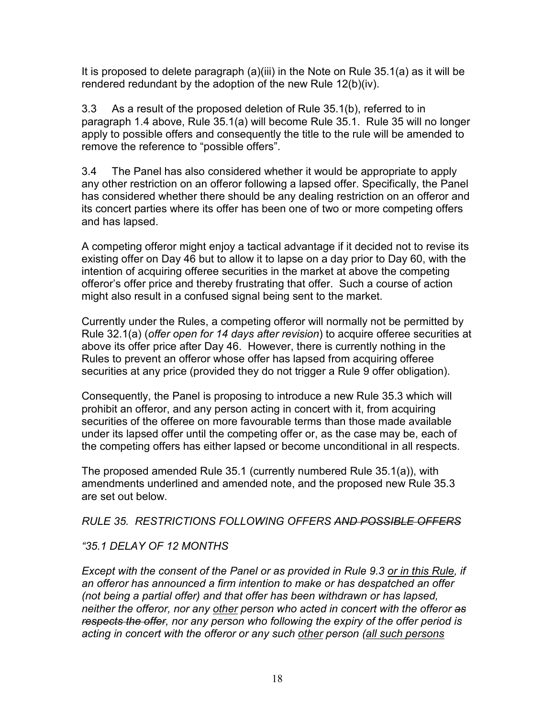It is proposed to delete paragraph (a)(iii) in the Note on Rule 35.1(a) as it will be rendered redundant by the adoption of the new Rule 12(b)(iv).

3.3 As a result of the proposed deletion of Rule 35.1(b), referred to in paragraph 1.4 above, Rule 35.1(a) will become Rule 35.1. Rule 35 will no longer apply to possible offers and consequently the title to the rule will be amended to remove the reference to "possible offers".

3.4 The Panel has also considered whether it would be appropriate to apply any other restriction on an offeror following a lapsed offer. Specifically, the Panel has considered whether there should be any dealing restriction on an offeror and its concert parties where its offer has been one of two or more competing offers and has lapsed.

A competing offeror might enjoy a tactical advantage if it decided not to revise its existing offer on Day 46 but to allow it to lapse on a day prior to Day 60, with the intention of acquiring offeree securities in the market at above the competing offeror's offer price and thereby frustrating that offer. Such a course of action might also result in a confused signal being sent to the market.

Currently under the Rules, a competing offeror will normally not be permitted by Rule 32.1(a) (*offer open for 14 days after revision*) to acquire offeree securities at above its offer price after Day 46. However, there is currently nothing in the Rules to prevent an offeror whose offer has lapsed from acquiring offeree securities at any price (provided they do not trigger a Rule 9 offer obligation).

Consequently, the Panel is proposing to introduce a new Rule 35.3 which will prohibit an offeror, and any person acting in concert with it, from acquiring securities of the offeree on more favourable terms than those made available under its lapsed offer until the competing offer or, as the case may be, each of the competing offers has either lapsed or become unconditional in all respects.

The proposed amended Rule 35.1 (currently numbered Rule 35.1(a)), with amendments underlined and amended note, and the proposed new Rule 35.3 are set out below.

*RULE 35. RESTRICTIONS FOLLOWING OFFERS AND POSSIBLE OFFERS* 

### *"35.1 DELAY OF 12 MONTHS*

*Except with the consent of the Panel or as provided in Rule 9.3 or in this Rule, if an offeror has announced a firm intention to make or has despatched an offer (not being a partial offer) and that offer has been withdrawn or has lapsed, neither the offeror, nor any other person who acted in concert with the offeror as respects the offer, nor any person who following the expiry of the offer period is acting in concert with the offeror or any such other person (all such persons*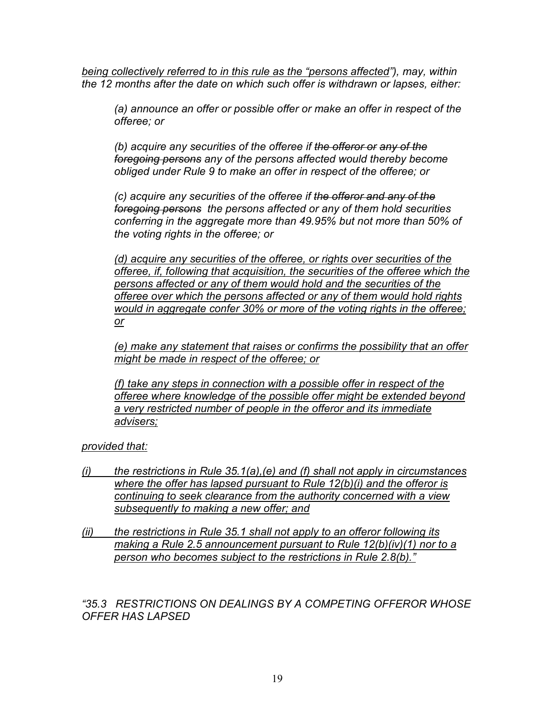*being collectively referred to in this rule as the "persons affected"), may, within the 12 months after the date on which such offer is withdrawn or lapses, either:* 

*(a) announce an offer or possible offer or make an offer in respect of the offeree; or*

*(b) acquire any securities of the offeree if the offeror or any of the foregoing persons any of the persons affected would thereby become obliged under Rule 9 to make an offer in respect of the offeree; or* 

*(c) acquire any securities of the offeree if the offeror and any of the foregoing persons the persons affected or any of them hold securities conferring in the aggregate more than 49.95% but not more than 50% of the voting rights in the offeree; or* 

*(d) acquire any securities of the offeree, or rights over securities of the offeree, if, following that acquisition, the securities of the offeree which the persons affected or any of them would hold and the securities of the offeree over which the persons affected or any of them would hold rights would in aggregate confer 30% or more of the voting rights in the offeree; or*

*(e) make any statement that raises or confirms the possibility that an offer might be made in respect of the offeree; or*

*(f) take any steps in connection with a possible offer in respect of the offeree where knowledge of the possible offer might be extended beyond a very restricted number of people in the offeror and its immediate advisers;*

*provided that:*

- *(i) the restrictions in Rule 35.1(a),(e) and (f) shall not apply in circumstances where the offer has lapsed pursuant to Rule 12(b)(i) and the offeror is continuing to seek clearance from the authority concerned with a view subsequently to making a new offer; and*
- *(ii) the restrictions in Rule 35.1 shall not apply to an offeror following its making a Rule 2.5 announcement pursuant to Rule 12(b)(iv)(1) nor to a person who becomes subject to the restrictions in Rule 2.8(b)."*

*"35.3 RESTRICTIONS ON DEALINGS BY A COMPETING OFFEROR WHOSE OFFER HAS LAPSED*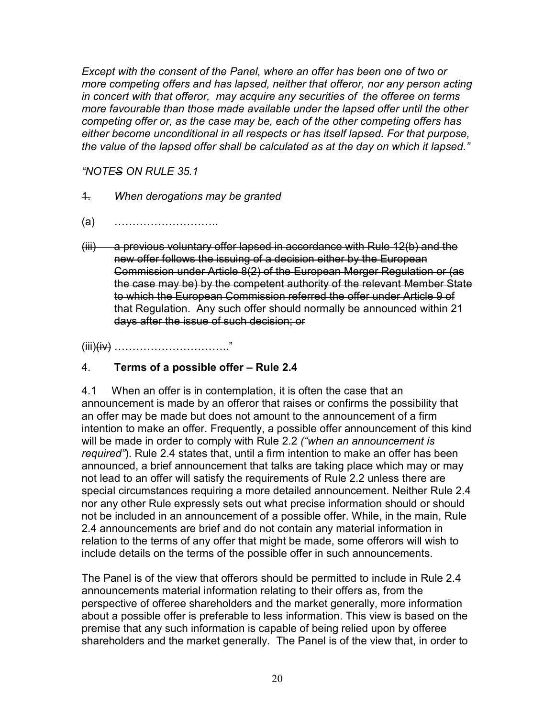*Except with the consent of the Panel, where an offer has been one of two or more competing offers and has lapsed, neither that offeror, nor any person acting in concert with that offeror, may acquire any securities of the offeree on terms more favourable than those made available under the lapsed offer until the other competing offer or, as the case may be, each of the other competing offers has either become unconditional in all respects or has itself lapsed. For that purpose, the value of the lapsed offer shall be calculated as at the day on which it lapsed."* 

#### *"NOTES ON RULE 35.1*

- 1. *When derogations may be granted*
- (a) ………………………..
- (iii) a previous voluntary offer lapsed in accordance with Rule 12(b) and the new offer follows the issuing of a decision either by the European Commission under Article 8(2) of the European Merger Regulation or (as the case may be) by the competent authority of the relevant Member State to which the European Commission referred the offer under Article 9 of that Regulation. Any such offer should normally be announced within 21 days after the issue of such decision; or

(iii)(iv) ………………………….."

### 4. **Terms of a possible offer – Rule 2.4**

4.1 When an offer is in contemplation, it is often the case that an announcement is made by an offeror that raises or confirms the possibility that an offer may be made but does not amount to the announcement of a firm intention to make an offer. Frequently, a possible offer announcement of this kind will be made in order to comply with Rule 2.2 *("when an announcement is required"*). Rule 2.4 states that, until a firm intention to make an offer has been announced, a brief announcement that talks are taking place which may or may not lead to an offer will satisfy the requirements of Rule 2.2 unless there are special circumstances requiring a more detailed announcement. Neither Rule 2.4 nor any other Rule expressly sets out what precise information should or should not be included in an announcement of a possible offer. While, in the main, Rule 2.4 announcements are brief and do not contain any material information in relation to the terms of any offer that might be made, some offerors will wish to include details on the terms of the possible offer in such announcements.

The Panel is of the view that offerors should be permitted to include in Rule 2.4 announcements material information relating to their offers as, from the perspective of offeree shareholders and the market generally, more information about a possible offer is preferable to less information. This view is based on the premise that any such information is capable of being relied upon by offeree shareholders and the market generally. The Panel is of the view that, in order to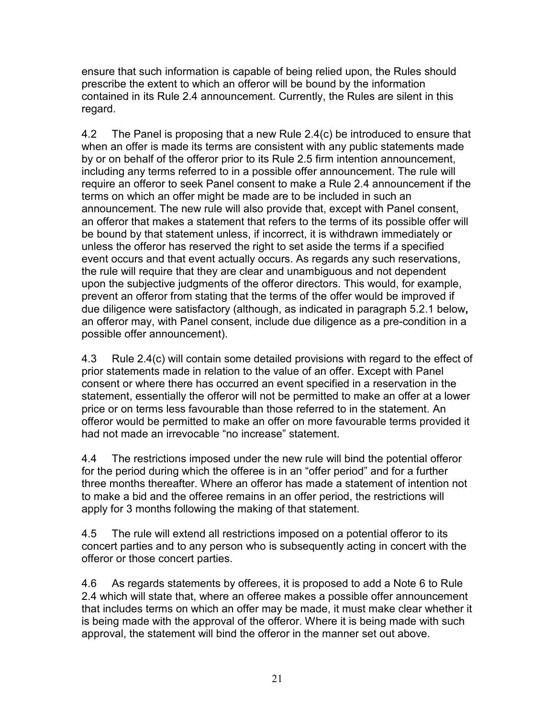ensure that such information is capable of being relied upon, the Rules should prescribe the extent to which an offeror will be bound by the information contained in its Rule 2.4 announcement. Currently, the Rules are silent in this regard.

4.2 The Panel is proposing that a new Rule 2.4(c) be introduced to ensure that when an offer is made its terms are consistent with any public statements made by or on behalf of the offeror prior to its Rule 2.5 firm intention announcement, including any terms referred to in a possible offer announcement. The rule will require an offeror to seek Panel consent to make a Rule 2.4 announcement if the terms on which an offer might be made are to be included in such an announcement. The new rule will also provide that, except with Panel consent, an offeror that makes a statement that refers to the terms of its possible offer will be bound by that statement unless, if incorrect, it is withdrawn immediately or unless the offeror has reserved the right to set aside the terms if a specified event occurs and that event actually occurs. As regards any such reservations, the rule will require that they are clear and unambiguous and not dependent upon the subjective judgments of the offeror directors. This would, for example, prevent an offeror from stating that the terms of the offer would be improved if due diligence were satisfactory (although, as indicated in paragraph 5.2.1 below**,**  an offeror may, with Panel consent, include due diligence as a pre-condition in a possible offer announcement).

4.3 Rule 2.4(c) will contain some detailed provisions with regard to the effect of prior statements made in relation to the value of an offer. Except with Panel consent or where there has occurred an event specified in a reservation in the statement, essentially the offeror will not be permitted to make an offer at a lower price or on terms less favourable than those referred to in the statement. An offeror would be permitted to make an offer on more favourable terms provided it had not made an irrevocable "no increase" statement.

4.4 The restrictions imposed under the new rule will bind the potential offeror for the period during which the offeree is in an "offer period" and for a further three months thereafter. Where an offeror has made a statement of intention not to make a bid and the offeree remains in an offer period, the restrictions will apply for 3 months following the making of that statement.

4.5 The rule will extend all restrictions imposed on a potential offeror to its concert parties and to any person who is subsequently acting in concert with the offeror or those concert parties.

4.6 As regards statements by offerees, it is proposed to add a Note 6 to Rule 2.4 which will state that, where an offeree makes a possible offer announcement that includes terms on which an offer may be made, it must make clear whether it is being made with the approval of the offeror. Where it is being made with such approval, the statement will bind the offeror in the manner set out above.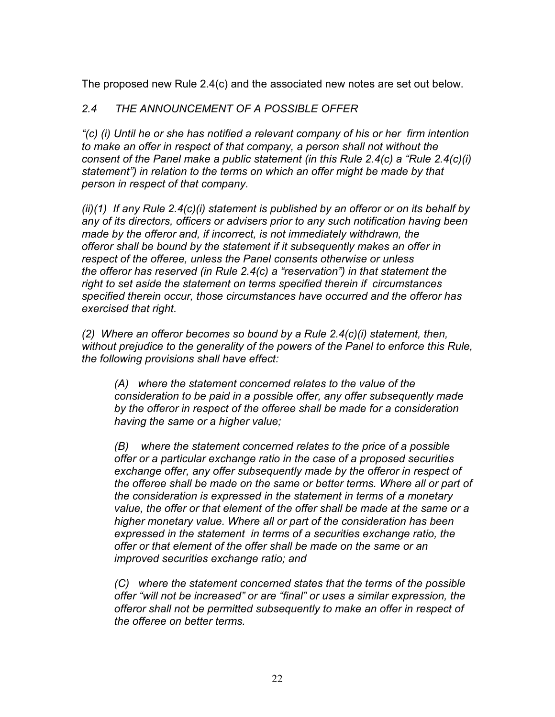The proposed new Rule 2.4(c) and the associated new notes are set out below.

### *2.4 THE ANNOUNCEMENT OF A POSSIBLE OFFER*

*"(c) (i) Until he or she has notified a relevant company of his or her firm intention to make an offer in respect of that company, a person shall not without the consent of the Panel make a public statement (in this Rule 2.4(c) a "Rule 2.4(c)(i) statement") in relation to the terms on which an offer might be made by that person in respect of that company.* 

*(ii)(1) If any Rule 2.4(c)(i) statement is published by an offeror or on its behalf by any of its directors, officers or advisers prior to any such notification having been made by the offeror and, if incorrect, is not immediately withdrawn, the offeror shall be bound by the statement if it subsequently makes an offer in respect of the offeree, unless the Panel consents otherwise or unless the offeror has reserved (in Rule 2.4(c) a "reservation") in that statement the right to set aside the statement on terms specified therein if circumstances specified therein occur, those circumstances have occurred and the offeror has exercised that right.* 

*(2) Where an offeror becomes so bound by a Rule 2.4(c)(i) statement, then, without prejudice to the generality of the powers of the Panel to enforce this Rule, the following provisions shall have effect:* 

*(A) where the statement concerned relates to the value of the consideration to be paid in a possible offer, any offer subsequently made by the offeror in respect of the offeree shall be made for a consideration having the same or a higher value;* 

*(B) where the statement concerned relates to the price of a possible offer or a particular exchange ratio in the case of a proposed securities exchange offer, any offer subsequently made by the offeror in respect of the offeree shall be made on the same or better terms. Where all or part of the consideration is expressed in the statement in terms of a monetary value, the offer or that element of the offer shall be made at the same or a higher monetary value. Where all or part of the consideration has been expressed in the statement in terms of a securities exchange ratio, the offer or that element of the offer shall be made on the same or an improved securities exchange ratio; and* 

*(C) where the statement concerned states that the terms of the possible offer "will not be increased" or are "final" or uses a similar expression, the offeror shall not be permitted subsequently to make an offer in respect of the offeree on better terms.*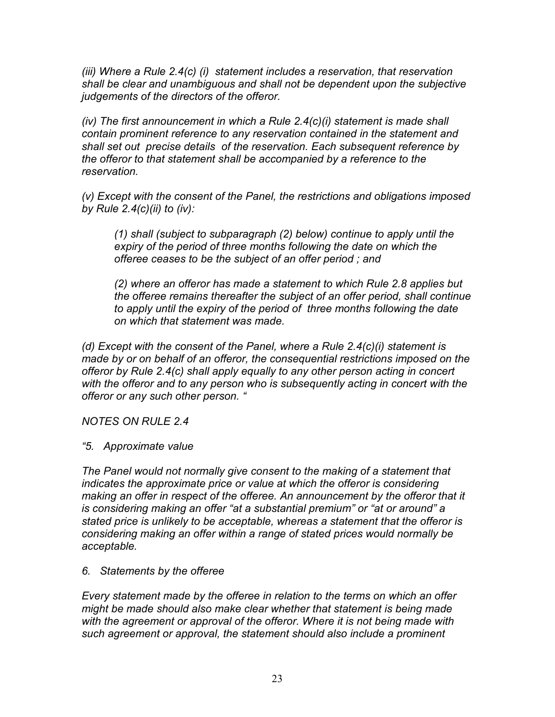*(iii) Where a Rule 2.4(c) (i) statement includes a reservation, that reservation shall be clear and unambiguous and shall not be dependent upon the subjective judgements of the directors of the offeror.* 

*(iv) The first announcement in which a Rule 2.4(c)(i) statement is made shall contain prominent reference to any reservation contained in the statement and shall set out precise details of the reservation. Each subsequent reference by the offeror to that statement shall be accompanied by a reference to the reservation.* 

*(v) Except with the consent of the Panel, the restrictions and obligations imposed by Rule 2.4(c)(ii) to (iv):* 

*(1) shall (subject to subparagraph (2) below) continue to apply until the expiry of the period of three months following the date on which the offeree ceases to be the subject of an offer period ; and* 

*(2) where an offeror has made a statement to which Rule 2.8 applies but the offeree remains thereafter the subject of an offer period, shall continue to apply until the expiry of the period of three months following the date on which that statement was made.* 

*(d) Except with the consent of the Panel, where a Rule 2.4(c)(i) statement is made by or on behalf of an offeror, the consequential restrictions imposed on the offeror by Rule 2.4(c) shall apply equally to any other person acting in concert with the offeror and to any person who is subsequently acting in concert with the offeror or any such other person. "* 

*NOTES ON RULE 2.4* 

*"5. Approximate value* 

*The Panel would not normally give consent to the making of a statement that indicates the approximate price or value at which the offeror is considering* making an offer in respect of the offeree. An announcement by the offeror that it *is considering making an offer "at a substantial premium" or "at or around" a stated price is unlikely to be acceptable, whereas a statement that the offeror is considering making an offer within a range of stated prices would normally be acceptable.* 

### *6. Statements by the offeree*

*Every statement made by the offeree in relation to the terms on which an offer might be made should also make clear whether that statement is being made with the agreement or approval of the offeror. Where it is not being made with such agreement or approval, the statement should also include a prominent*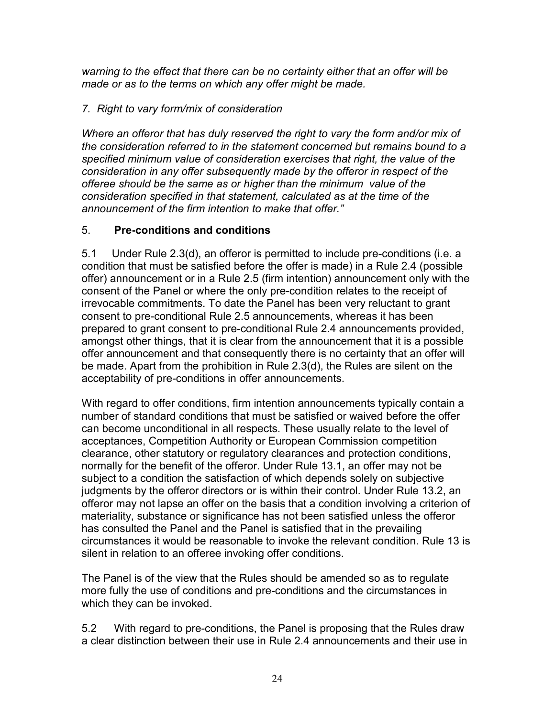*warning to the effect that there can be no certainty either that an offer will be made or as to the terms on which any offer might be made.* 

### *7. Right to vary form/mix of consideration*

*Where an offeror that has duly reserved the right to vary the form and/or mix of the consideration referred to in the statement concerned but remains bound to a specified minimum value of consideration exercises that right, the value of the consideration in any offer subsequently made by the offeror in respect of the offeree should be the same as or higher than the minimum value of the consideration specified in that statement, calculated as at the time of the announcement of the firm intention to make that offer."* 

### 5. **Pre-conditions and conditions**

5.1 Under Rule 2.3(d), an offeror is permitted to include pre-conditions (i.e. a condition that must be satisfied before the offer is made) in a Rule 2.4 (possible offer) announcement or in a Rule 2.5 (firm intention) announcement only with the consent of the Panel or where the only pre-condition relates to the receipt of irrevocable commitments. To date the Panel has been very reluctant to grant consent to pre-conditional Rule 2.5 announcements, whereas it has been prepared to grant consent to pre-conditional Rule 2.4 announcements provided, amongst other things, that it is clear from the announcement that it is a possible offer announcement and that consequently there is no certainty that an offer will be made. Apart from the prohibition in Rule 2.3(d), the Rules are silent on the acceptability of pre-conditions in offer announcements.

With regard to offer conditions, firm intention announcements typically contain a number of standard conditions that must be satisfied or waived before the offer can become unconditional in all respects. These usually relate to the level of acceptances, Competition Authority or European Commission competition clearance, other statutory or regulatory clearances and protection conditions, normally for the benefit of the offeror. Under Rule 13.1, an offer may not be subject to a condition the satisfaction of which depends solely on subjective judgments by the offeror directors or is within their control. Under Rule 13.2, an offeror may not lapse an offer on the basis that a condition involving a criterion of materiality, substance or significance has not been satisfied unless the offeror has consulted the Panel and the Panel is satisfied that in the prevailing circumstances it would be reasonable to invoke the relevant condition. Rule 13 is silent in relation to an offeree invoking offer conditions.

The Panel is of the view that the Rules should be amended so as to regulate more fully the use of conditions and pre-conditions and the circumstances in which they can be invoked.

5.2 With regard to pre-conditions, the Panel is proposing that the Rules draw a clear distinction between their use in Rule 2.4 announcements and their use in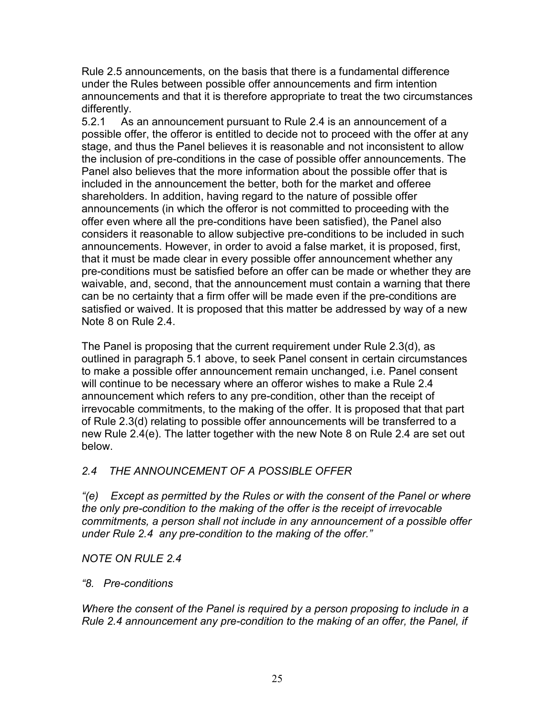Rule 2.5 announcements, on the basis that there is a fundamental difference under the Rules between possible offer announcements and firm intention announcements and that it is therefore appropriate to treat the two circumstances differently.

5.2.1 As an announcement pursuant to Rule 2.4 is an announcement of a possible offer, the offeror is entitled to decide not to proceed with the offer at any stage, and thus the Panel believes it is reasonable and not inconsistent to allow the inclusion of pre-conditions in the case of possible offer announcements. The Panel also believes that the more information about the possible offer that is included in the announcement the better, both for the market and offeree shareholders. In addition, having regard to the nature of possible offer announcements (in which the offeror is not committed to proceeding with the offer even where all the pre-conditions have been satisfied), the Panel also considers it reasonable to allow subjective pre-conditions to be included in such announcements. However, in order to avoid a false market, it is proposed, first, that it must be made clear in every possible offer announcement whether any pre-conditions must be satisfied before an offer can be made or whether they are waivable, and, second, that the announcement must contain a warning that there can be no certainty that a firm offer will be made even if the pre-conditions are satisfied or waived. It is proposed that this matter be addressed by way of a new Note 8 on Rule 2.4.

The Panel is proposing that the current requirement under Rule 2.3(d), as outlined in paragraph 5.1 above, to seek Panel consent in certain circumstances to make a possible offer announcement remain unchanged, i.e. Panel consent will continue to be necessary where an offeror wishes to make a Rule 2.4 announcement which refers to any pre-condition, other than the receipt of irrevocable commitments, to the making of the offer. It is proposed that that part of Rule 2.3(d) relating to possible offer announcements will be transferred to a new Rule 2.4(e). The latter together with the new Note 8 on Rule 2.4 are set out below.

### *2.4 THE ANNOUNCEMENT OF A POSSIBLE OFFER*

*"(e) Except as permitted by the Rules or with the consent of the Panel or where the only pre-condition to the making of the offer is the receipt of irrevocable commitments, a person shall not include in any announcement of a possible offer under Rule 2.4 any pre-condition to the making of the offer."* 

*NOTE ON RULE 2.4* 

### *"8. Pre-conditions*

*Where the consent of the Panel is required by a person proposing to include in a Rule 2.4 announcement any pre-condition to the making of an offer, the Panel, if*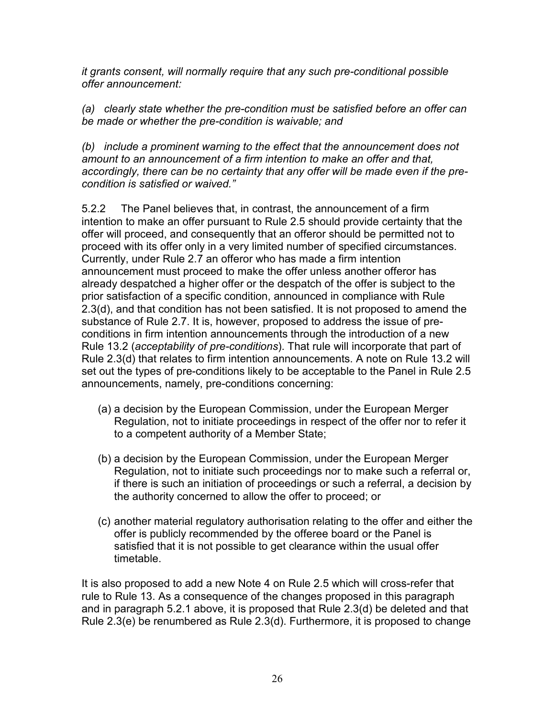*it grants consent, will normally require that any such pre-conditional possible offer announcement:* 

*(a) clearly state whether the pre-condition must be satisfied before an offer can be made or whether the pre-condition is waivable; and* 

*(b) include a prominent warning to the effect that the announcement does not amount to an announcement of a firm intention to make an offer and that, accordingly, there can be no certainty that any offer will be made even if the precondition is satisfied or waived."* 

5.2.2 The Panel believes that, in contrast, the announcement of a firm intention to make an offer pursuant to Rule 2.5 should provide certainty that the offer will proceed, and consequently that an offeror should be permitted not to proceed with its offer only in a very limited number of specified circumstances. Currently, under Rule 2.7 an offeror who has made a firm intention announcement must proceed to make the offer unless another offeror has already despatched a higher offer or the despatch of the offer is subject to the prior satisfaction of a specific condition, announced in compliance with Rule 2.3(d), and that condition has not been satisfied. It is not proposed to amend the substance of Rule 2.7. It is, however, proposed to address the issue of preconditions in firm intention announcements through the introduction of a new Rule 13.2 (*acceptability of pre-conditions*). That rule will incorporate that part of Rule 2.3(d) that relates to firm intention announcements. A note on Rule 13.2 will set out the types of pre-conditions likely to be acceptable to the Panel in Rule 2.5 announcements, namely, pre-conditions concerning:

- (a) a decision by the European Commission, under the European Merger Regulation, not to initiate proceedings in respect of the offer nor to refer it to a competent authority of a Member State;
- (b) a decision by the European Commission, under the European Merger Regulation, not to initiate such proceedings nor to make such a referral or, if there is such an initiation of proceedings or such a referral, a decision by the authority concerned to allow the offer to proceed; or
- (c) another material regulatory authorisation relating to the offer and either the offer is publicly recommended by the offeree board or the Panel is satisfied that it is not possible to get clearance within the usual offer timetable.

It is also proposed to add a new Note 4 on Rule 2.5 which will cross-refer that rule to Rule 13. As a consequence of the changes proposed in this paragraph and in paragraph 5.2.1 above, it is proposed that Rule 2.3(d) be deleted and that Rule 2.3(e) be renumbered as Rule 2.3(d). Furthermore, it is proposed to change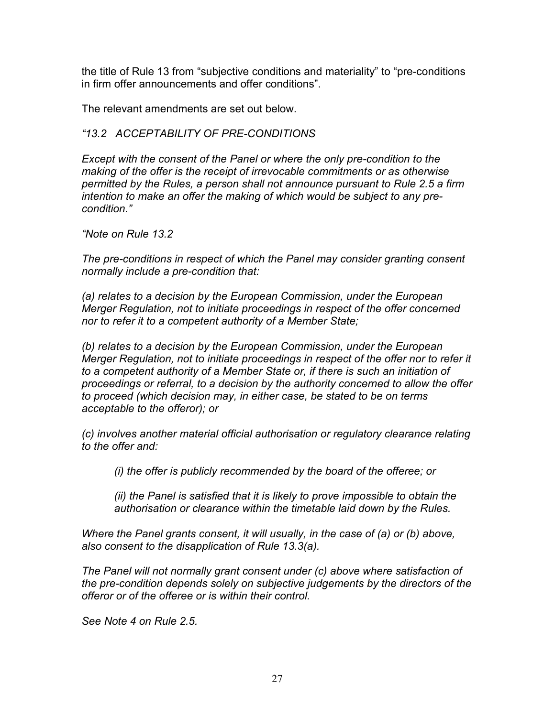the title of Rule 13 from "subjective conditions and materiality" to "pre-conditions in firm offer announcements and offer conditions".

The relevant amendments are set out below.

#### *"13.2 ACCEPTABILITY OF PRE-CONDITIONS*

*Except with the consent of the Panel or where the only pre-condition to the making of the offer is the receipt of irrevocable commitments or as otherwise permitted by the Rules, a person shall not announce pursuant to Rule 2.5 a firm intention to make an offer the making of which would be subject to any precondition."* 

*"Note on Rule 13.2* 

*The pre-conditions in respect of which the Panel may consider granting consent normally include a pre-condition that:* 

*(a) relates to a decision by the European Commission, under the European Merger Regulation, not to initiate proceedings in respect of the offer concerned nor to refer it to a competent authority of a Member State;* 

*(b) relates to a decision by the European Commission, under the European Merger Regulation, not to initiate proceedings in respect of the offer nor to refer it to a competent authority of a Member State or, if there is such an initiation of proceedings or referral, to a decision by the authority concerned to allow the offer to proceed (which decision may, in either case, be stated to be on terms acceptable to the offeror); or* 

*(c) involves another material official authorisation or regulatory clearance relating to the offer and:* 

*(i) the offer is publicly recommended by the board of the offeree; or* 

*(ii) the Panel is satisfied that it is likely to prove impossible to obtain the authorisation or clearance within the timetable laid down by the Rules.* 

*Where the Panel grants consent, it will usually, in the case of (a) or (b) above, also consent to the disapplication of Rule 13.3(a).*

*The Panel will not normally grant consent under (c) above where satisfaction of the pre-condition depends solely on subjective judgements by the directors of the offeror or of the offeree or is within their control.* 

*See Note 4 on Rule 2.5.*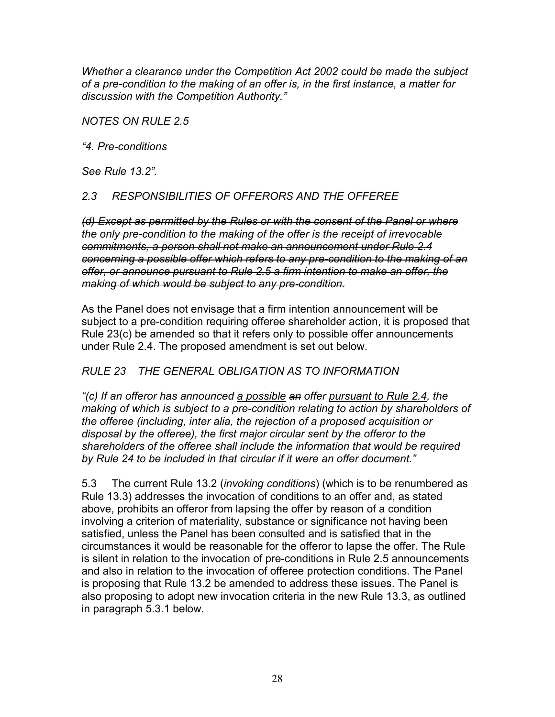*Whether a clearance under the Competition Act 2002 could be made the subject of a pre-condition to the making of an offer is, in the first instance, a matter for discussion with the Competition Authority."* 

*NOTES ON RULE 2.5* 

*"4. Pre-conditions* 

*See Rule 13.2".* 

### *2.3 RESPONSIBILITIES OF OFFERORS AND THE OFFEREE*

*(d) Except as permitted by the Rules or with the consent of the Panel or where the only pre-condition to the making of the offer is the receipt of irrevocable commitments, a person shall not make an announcement under Rule 2.4 concerning a possible offer which refers to any pre-condition to the making of an offer, or announce pursuant to Rule 2.5 a firm intention to make an offer, the making of which would be subject to any pre-condition.*

As the Panel does not envisage that a firm intention announcement will be subject to a pre-condition requiring offeree shareholder action, it is proposed that Rule 23(c) be amended so that it refers only to possible offer announcements under Rule 2.4. The proposed amendment is set out below.

### *RULE 23 THE GENERAL OBLIGATION AS TO INFORMATION*

*"(c) If an offeror has announced a possible an offer pursuant to Rule 2.4, the making of which is subject to a pre-condition relating to action by shareholders of the offeree (including, inter alia, the rejection of a proposed acquisition or disposal by the offeree), the first major circular sent by the offeror to the shareholders of the offeree shall include the information that would be required by Rule 24 to be included in that circular if it were an offer document."* 

5.3 The current Rule 13.2 (*invoking conditions*) (which is to be renumbered as Rule 13.3) addresses the invocation of conditions to an offer and, as stated above, prohibits an offeror from lapsing the offer by reason of a condition involving a criterion of materiality, substance or significance not having been satisfied, unless the Panel has been consulted and is satisfied that in the circumstances it would be reasonable for the offeror to lapse the offer. The Rule is silent in relation to the invocation of pre-conditions in Rule 2.5 announcements and also in relation to the invocation of offeree protection conditions. The Panel is proposing that Rule 13.2 be amended to address these issues. The Panel is also proposing to adopt new invocation criteria in the new Rule 13.3, as outlined in paragraph 5.3.1 below.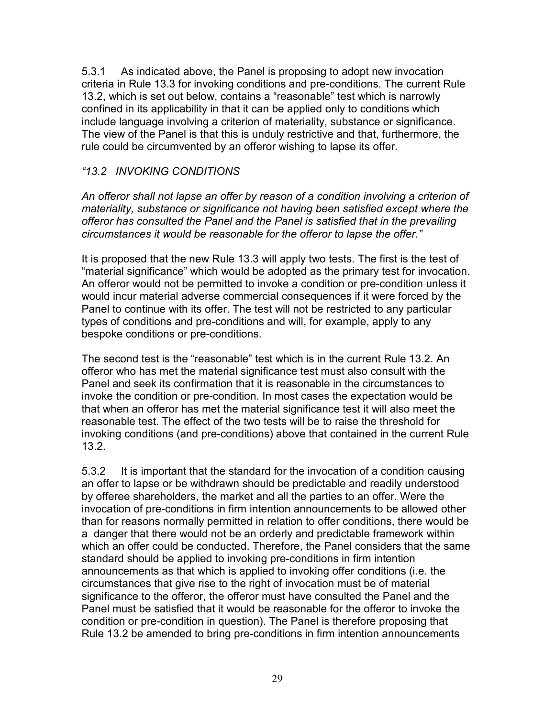5.3.1 As indicated above, the Panel is proposing to adopt new invocation criteria in Rule 13.3 for invoking conditions and pre-conditions. The current Rule 13.2, which is set out below, contains a "reasonable" test which is narrowly confined in its applicability in that it can be applied only to conditions which include language involving a criterion of materiality, substance or significance. The view of the Panel is that this is unduly restrictive and that, furthermore, the rule could be circumvented by an offeror wishing to lapse its offer.

### *"13.2 INVOKING CONDITIONS*

*An offeror shall not lapse an offer by reason of a condition involving a criterion of materiality, substance or significance not having been satisfied except where the offeror has consulted the Panel and the Panel is satisfied that in the prevailing circumstances it would be reasonable for the offeror to lapse the offer."* 

It is proposed that the new Rule 13.3 will apply two tests. The first is the test of "material significance" which would be adopted as the primary test for invocation. An offeror would not be permitted to invoke a condition or pre-condition unless it would incur material adverse commercial consequences if it were forced by the Panel to continue with its offer. The test will not be restricted to any particular types of conditions and pre-conditions and will, for example, apply to any bespoke conditions or pre-conditions.

The second test is the "reasonable" test which is in the current Rule 13.2. An offeror who has met the material significance test must also consult with the Panel and seek its confirmation that it is reasonable in the circumstances to invoke the condition or pre-condition. In most cases the expectation would be that when an offeror has met the material significance test it will also meet the reasonable test. The effect of the two tests will be to raise the threshold for invoking conditions (and pre-conditions) above that contained in the current Rule 13.2.

5.3.2 It is important that the standard for the invocation of a condition causing an offer to lapse or be withdrawn should be predictable and readily understood by offeree shareholders, the market and all the parties to an offer. Were the invocation of pre-conditions in firm intention announcements to be allowed other than for reasons normally permitted in relation to offer conditions, there would be a danger that there would not be an orderly and predictable framework within which an offer could be conducted. Therefore, the Panel considers that the same standard should be applied to invoking pre-conditions in firm intention announcements as that which is applied to invoking offer conditions (i.e. the circumstances that give rise to the right of invocation must be of material significance to the offeror, the offeror must have consulted the Panel and the Panel must be satisfied that it would be reasonable for the offeror to invoke the condition or pre-condition in question). The Panel is therefore proposing that Rule 13.2 be amended to bring pre-conditions in firm intention announcements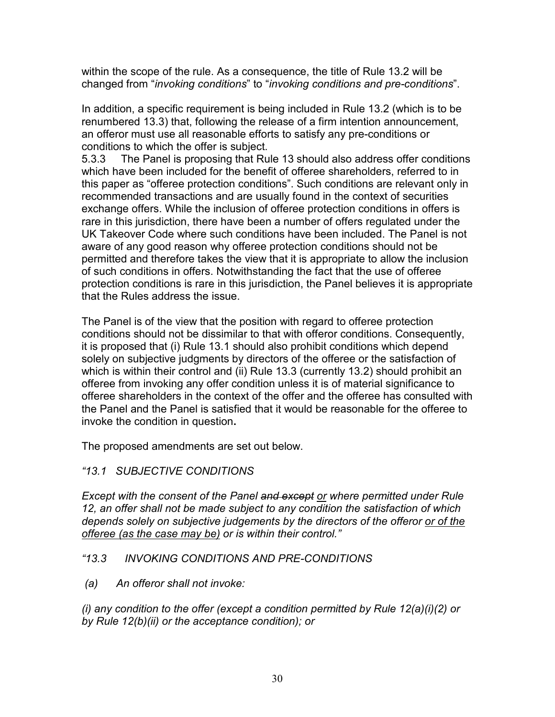within the scope of the rule. As a consequence, the title of Rule 13.2 will be changed from "*invoking conditions*" to "*invoking conditions and pre-conditions*".

In addition, a specific requirement is being included in Rule 13.2 (which is to be renumbered 13.3) that, following the release of a firm intention announcement, an offeror must use all reasonable efforts to satisfy any pre-conditions or conditions to which the offer is subject.

5.3.3 The Panel is proposing that Rule 13 should also address offer conditions which have been included for the benefit of offeree shareholders, referred to in this paper as "offeree protection conditions". Such conditions are relevant only in recommended transactions and are usually found in the context of securities exchange offers. While the inclusion of offeree protection conditions in offers is rare in this jurisdiction, there have been a number of offers regulated under the UK Takeover Code where such conditions have been included. The Panel is not aware of any good reason why offeree protection conditions should not be permitted and therefore takes the view that it is appropriate to allow the inclusion of such conditions in offers. Notwithstanding the fact that the use of offeree protection conditions is rare in this jurisdiction, the Panel believes it is appropriate that the Rules address the issue.

The Panel is of the view that the position with regard to offeree protection conditions should not be dissimilar to that with offeror conditions. Consequently, it is proposed that (i) Rule 13.1 should also prohibit conditions which depend solely on subjective judgments by directors of the offeree or the satisfaction of which is within their control and (ii) Rule 13.3 (currently 13.2) should prohibit an offeree from invoking any offer condition unless it is of material significance to offeree shareholders in the context of the offer and the offeree has consulted with the Panel and the Panel is satisfied that it would be reasonable for the offeree to invoke the condition in question**.** 

The proposed amendments are set out below.

### *"13.1 SUBJECTIVE CONDITIONS*

*Except with the consent of the Panel and except or where permitted under Rule 12, an offer shall not be made subject to any condition the satisfaction of which depends solely on subjective judgements by the directors of the offeror or of the offeree (as the case may be) or is within their control."* 

### *"13.3 INVOKING CONDITIONS AND PRE-CONDITIONS*

 *(a) An offeror shall not invoke:* 

*(i) any condition to the offer (except a condition permitted by Rule 12(a)(i)(2) or by Rule 12(b)(ii) or the acceptance condition); or*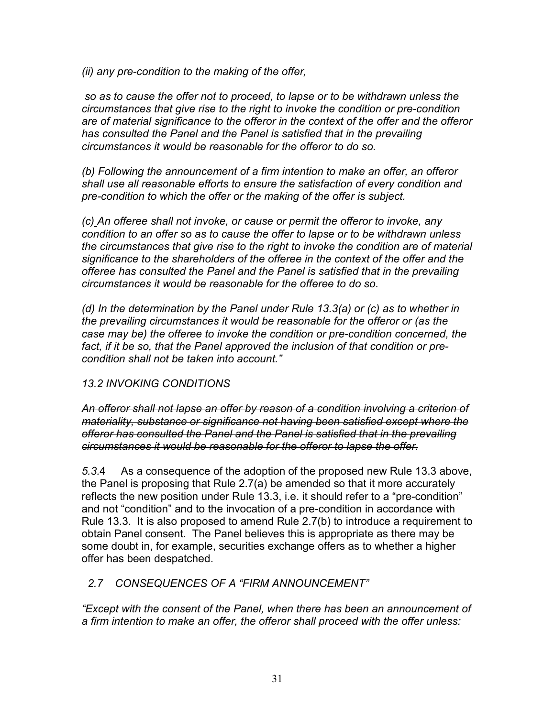*(ii) any pre-condition to the making of the offer,* 

 *so as to cause the offer not to proceed, to lapse or to be withdrawn unless the circumstances that give rise to the right to invoke the condition or pre-condition are of material significance to the offeror in the context of the offer and the offeror has consulted the Panel and the Panel is satisfied that in the prevailing circumstances it would be reasonable for the offeror to do so.* 

*(b) Following the announcement of a firm intention to make an offer, an offeror shall use all reasonable efforts to ensure the satisfaction of every condition and pre-condition to which the offer or the making of the offer is subject.* 

*(c) An offeree shall not invoke, or cause or permit the offeror to invoke, any condition to an offer so as to cause the offer to lapse or to be withdrawn unless the circumstances that give rise to the right to invoke the condition are of material significance to the shareholders of the offeree in the context of the offer and the offeree has consulted the Panel and the Panel is satisfied that in the prevailing circumstances it would be reasonable for the offeree to do so.* 

*(d) In the determination by the Panel under Rule 13.3(a) or (c) as to whether in the prevailing circumstances it would be reasonable for the offeror or (as the case may be) the offeree to invoke the condition or pre-condition concerned, the fact, if it be so, that the Panel approved the inclusion of that condition or precondition shall not be taken into account."* 

### *13.2 INVOKING CONDITIONS*

*An offeror shall not lapse an offer by reason of a condition involving a criterion of materiality, substance or significance not having been satisfied except where the offeror has consulted the Panel and the Panel is satisfied that in the prevailing circumstances it would be reasonable for the offeror to lapse the offer.*

*5.3.*4 As a consequence of the adoption of the proposed new Rule 13.3 above, the Panel is proposing that Rule 2.7(a) be amended so that it more accurately reflects the new position under Rule 13.3, i.e. it should refer to a "pre-condition" and not "condition" and to the invocation of a pre-condition in accordance with Rule 13.3. It is also proposed to amend Rule 2.7(b) to introduce a requirement to obtain Panel consent. The Panel believes this is appropriate as there may be some doubt in, for example, securities exchange offers as to whether a higher offer has been despatched.

#### *2.7 CONSEQUENCES OF A "FIRM ANNOUNCEMENT"*

*"Except with the consent of the Panel, when there has been an announcement of a firm intention to make an offer, the offeror shall proceed with the offer unless:*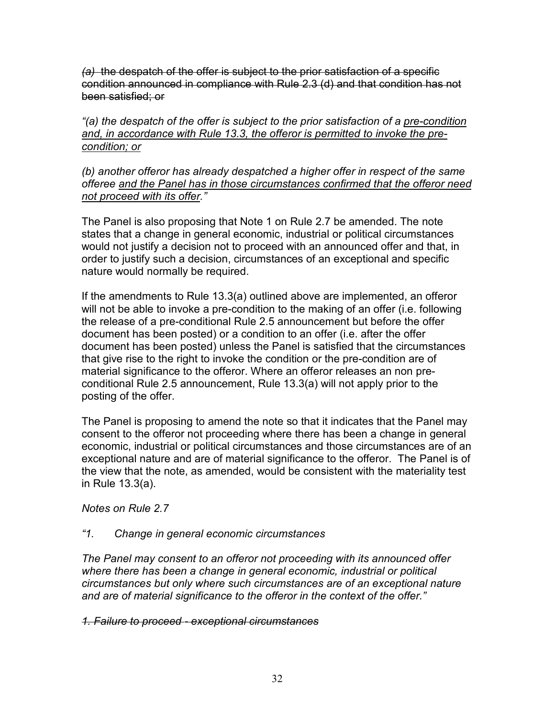*(a)* the despatch of the offer is subject to the prior satisfaction of a specific condition announced in compliance with Rule 2.3 (d) and that condition has not been satisfied; or

*"(a) the despatch of the offer is subject to the prior satisfaction of a pre-condition and, in accordance with Rule 13.3, the offeror is permitted to invoke the precondition; or*

*(b) another offeror has already despatched a higher offer in respect of the same offeree and the Panel has in those circumstances confirmed that the offeror need not proceed with its offer."* 

The Panel is also proposing that Note 1 on Rule 2.7 be amended. The note states that a change in general economic, industrial or political circumstances would not justify a decision not to proceed with an announced offer and that, in order to justify such a decision, circumstances of an exceptional and specific nature would normally be required.

If the amendments to Rule 13.3(a) outlined above are implemented, an offeror will not be able to invoke a pre-condition to the making of an offer (i.e. following the release of a pre-conditional Rule 2.5 announcement but before the offer document has been posted) or a condition to an offer (i.e. after the offer document has been posted) unless the Panel is satisfied that the circumstances that give rise to the right to invoke the condition or the pre-condition are of material significance to the offeror. Where an offeror releases an non preconditional Rule 2.5 announcement, Rule 13.3(a) will not apply prior to the posting of the offer.

The Panel is proposing to amend the note so that it indicates that the Panel may consent to the offeror not proceeding where there has been a change in general economic, industrial or political circumstances and those circumstances are of an exceptional nature and are of material significance to the offeror. The Panel is of the view that the note, as amended, would be consistent with the materiality test in Rule 13.3(a).

*Notes on Rule 2.7* 

### *"1. Change in general economic circumstances*

*The Panel may consent to an offeror not proceeding with its announced offer where there has been a change in general economic, industrial or political circumstances but only where such circumstances are of an exceptional nature and are of material significance to the offeror in the context of the offer."* 

#### *1. Failure to proceed - exceptional circumstances*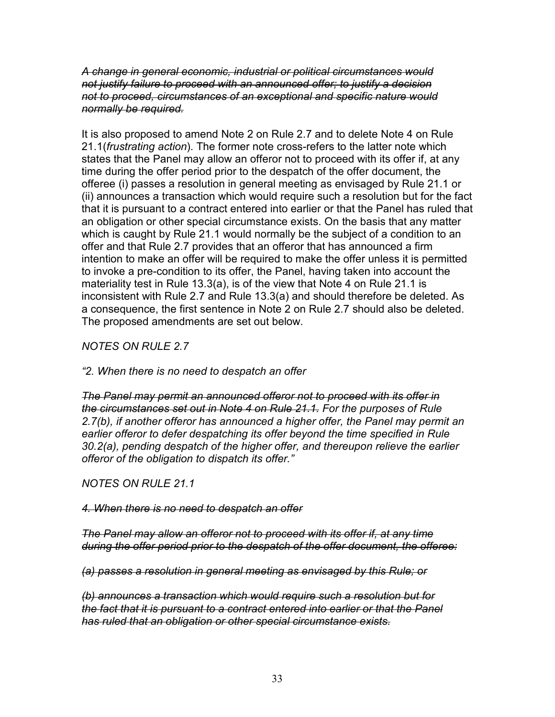*A change in general economic, industrial or political circumstances would not justify failure to proceed with an announced offer; to justify a decision not to proceed, circumstances of an exceptional and specific nature would normally be required.*

It is also proposed to amend Note 2 on Rule 2.7 and to delete Note 4 on Rule 21.1(*frustrating action*). The former note cross-refers to the latter note which states that the Panel may allow an offeror not to proceed with its offer if, at any time during the offer period prior to the despatch of the offer document, the offeree (i) passes a resolution in general meeting as envisaged by Rule 21.1 or (ii) announces a transaction which would require such a resolution but for the fact that it is pursuant to a contract entered into earlier or that the Panel has ruled that an obligation or other special circumstance exists. On the basis that any matter which is caught by Rule 21.1 would normally be the subject of a condition to an offer and that Rule 2.7 provides that an offeror that has announced a firm intention to make an offer will be required to make the offer unless it is permitted to invoke a pre-condition to its offer, the Panel, having taken into account the materiality test in Rule 13.3(a), is of the view that Note 4 on Rule 21.1 is inconsistent with Rule 2.7 and Rule 13.3(a) and should therefore be deleted. As a consequence, the first sentence in Note 2 on Rule 2.7 should also be deleted. The proposed amendments are set out below.

*NOTES ON RULE 2.7* 

*"2. When there is no need to despatch an offer* 

*The Panel may permit an announced offeror not to proceed with its offer in the circumstances set out in Note 4 on Rule 21.1. For the purposes of Rule 2.7(b), if another offeror has announced a higher offer, the Panel may permit an earlier offeror to defer despatching its offer beyond the time specified in Rule 30.2(a), pending despatch of the higher offer, and thereupon relieve the earlier offeror of the obligation to dispatch its offer."* 

*NOTES ON RULE 21.1* 

*4. When there is no need to despatch an offer*

*The Panel may allow an offeror not to proceed with its offer if, at any time during the offer period prior to the despatch of the offer document, the offeree:*

*(a) passes a resolution in general meeting as envisaged by this Rule; or*

*(b) announces a transaction which would require such a resolution but for the fact that it is pursuant to a contract entered into earlier or that the Panel has ruled that an obligation or other special circumstance exists.*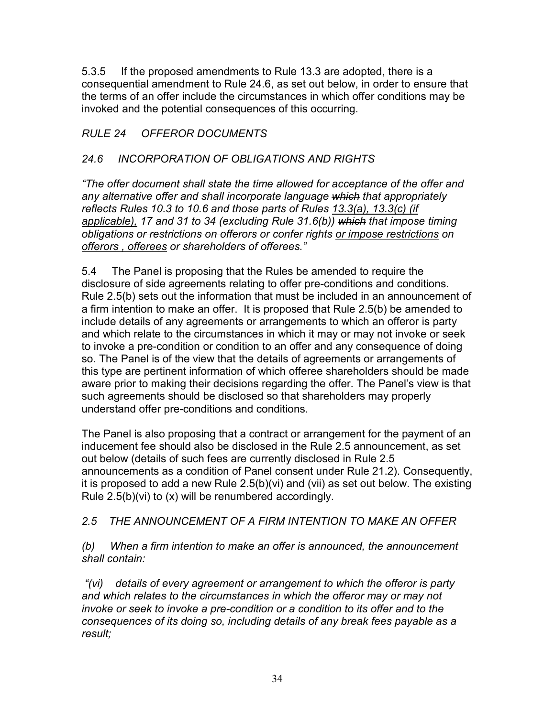5.3.5 If the proposed amendments to Rule 13.3 are adopted, there is a consequential amendment to Rule 24.6, as set out below, in order to ensure that the terms of an offer include the circumstances in which offer conditions may be invoked and the potential consequences of this occurring.

### *RULE 24 OFFEROR DOCUMENTS*

### *24.6 INCORPORATION OF OBLIGATIONS AND RIGHTS*

*"The offer document shall state the time allowed for acceptance of the offer and any alternative offer and shall incorporate language which that appropriately reflects Rules 10.3 to 10.6 and those parts of Rules 13.3(a), 13.3(c) (if applicable), 17 and 31 to 34 (excluding Rule 31.6(b)) which that impose timing obligations or restrictions on offerors or confer rights or impose restrictions on offerors , offerees or shareholders of offerees."* 

5.4 The Panel is proposing that the Rules be amended to require the disclosure of side agreements relating to offer pre-conditions and conditions. Rule 2.5(b) sets out the information that must be included in an announcement of a firm intention to make an offer. It is proposed that Rule 2.5(b) be amended to include details of any agreements or arrangements to which an offeror is party and which relate to the circumstances in which it may or may not invoke or seek to invoke a pre-condition or condition to an offer and any consequence of doing so. The Panel is of the view that the details of agreements or arrangements of this type are pertinent information of which offeree shareholders should be made aware prior to making their decisions regarding the offer. The Panel's view is that such agreements should be disclosed so that shareholders may properly understand offer pre-conditions and conditions.

The Panel is also proposing that a contract or arrangement for the payment of an inducement fee should also be disclosed in the Rule 2.5 announcement, as set out below (details of such fees are currently disclosed in Rule 2.5 announcements as a condition of Panel consent under Rule 21.2). Consequently, it is proposed to add a new Rule 2.5(b)(vi) and (vii) as set out below. The existing Rule 2.5(b)(vi) to (x) will be renumbered accordingly.

### *2.5 THE ANNOUNCEMENT OF A FIRM INTENTION TO MAKE AN OFFER*

*(b) When a firm intention to make an offer is announced, the announcement shall contain:* 

 *"(vi) details of every agreement or arrangement to which the offeror is party and which relates to the circumstances in which the offeror may or may not invoke or seek to invoke a pre-condition or a condition to its offer and to the consequences of its doing so, including details of any break fees payable as a result;*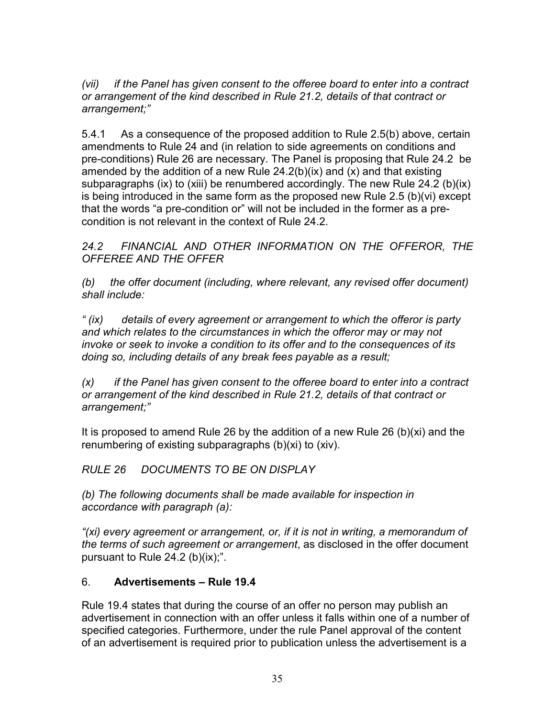*(vii) if the Panel has given consent to the offeree board to enter into a contract or arrangement of the kind described in Rule 21.2, details of that contract or arrangement;"* 

5.4.1 As a consequence of the proposed addition to Rule 2.5(b) above, certain amendments to Rule 24 and (in relation to side agreements on conditions and pre-conditions) Rule 26 are necessary. The Panel is proposing that Rule 24.2 be amended by the addition of a new Rule  $24.2(b)(ix)$  and  $(x)$  and that existing subparagraphs (ix) to (xiii) be renumbered accordingly. The new Rule 24.2 (b)(ix) is being introduced in the same form as the proposed new Rule 2.5 (b)(vi) except that the words "a pre-condition or" will not be included in the former as a precondition is not relevant in the context of Rule 24.2.

*24.2 FINANCIAL AND OTHER INFORMATION ON THE OFFEROR, THE OFFEREE AND THE OFFER* 

*(b) the offer document (including, where relevant, any revised offer document) shall include:* 

*" (ix) details of every agreement or arrangement to which the offeror is party and which relates to the circumstances in which the offeror may or may not invoke or seek to invoke a condition to its offer and to the consequences of its doing so, including details of any break fees payable as a result;*

*(x) if the Panel has given consent to the offeree board to enter into a contract or arrangement of the kind described in Rule 21.2, details of that contract or arrangement;"* 

It is proposed to amend Rule 26 by the addition of a new Rule 26 (b)(xi) and the renumbering of existing subparagraphs (b)(xi) to (xiv).

*RULE 26 DOCUMENTS TO BE ON DISPLAY* 

*(b) The following documents shall be made available for inspection in accordance with paragraph (a):* 

*"(xi) every agreement or arrangement, or, if it is not in writing, a memorandum of the terms of such agreement or arrangement*, as disclosed in the offer document pursuant to Rule 24.2 (b)(ix);".

### 6. **Advertisements – Rule 19.4**

Rule 19.4 states that during the course of an offer no person may publish an advertisement in connection with an offer unless it falls within one of a number of specified categories. Furthermore, under the rule Panel approval of the content of an advertisement is required prior to publication unless the advertisement is a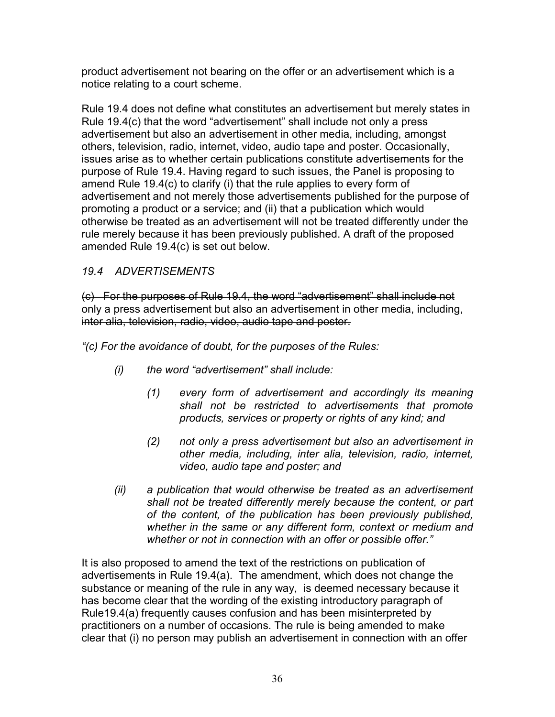product advertisement not bearing on the offer or an advertisement which is a notice relating to a court scheme.

Rule 19.4 does not define what constitutes an advertisement but merely states in Rule 19.4(c) that the word "advertisement" shall include not only a press advertisement but also an advertisement in other media, including, amongst others, television, radio, internet, video, audio tape and poster. Occasionally, issues arise as to whether certain publications constitute advertisements for the purpose of Rule 19.4. Having regard to such issues, the Panel is proposing to amend Rule 19.4(c) to clarify (i) that the rule applies to every form of advertisement and not merely those advertisements published for the purpose of promoting a product or a service; and (ii) that a publication which would otherwise be treated as an advertisement will not be treated differently under the rule merely because it has been previously published. A draft of the proposed amended Rule 19.4(c) is set out below.

### *19.4 ADVERTISEMENTS*

(c) For the purposes of Rule 19.4, the word "advertisement" shall include not only a press advertisement but also an advertisement in other media, including, inter alia, television, radio, video, audio tape and poster.

*"(c) For the avoidance of doubt, for the purposes of the Rules:* 

- *(i) the word "advertisement" shall include:* 
	- *(1) every form of advertisement and accordingly its meaning shall not be restricted to advertisements that promote products, services or property or rights of any kind; and*
	- *(2) not only a press advertisement but also an advertisement in other media, including, inter alia, television, radio, internet, video, audio tape and poster; and*
- *(ii) a publication that would otherwise be treated as an advertisement shall not be treated differently merely because the content, or part of the content, of the publication has been previously published, whether in the same or any different form, context or medium and whether or not in connection with an offer or possible offer."*

It is also proposed to amend the text of the restrictions on publication of advertisements in Rule 19.4(a). The amendment, which does not change the substance or meaning of the rule in any way, is deemed necessary because it has become clear that the wording of the existing introductory paragraph of Rule19.4(a) frequently causes confusion and has been misinterpreted by practitioners on a number of occasions. The rule is being amended to make clear that (i) no person may publish an advertisement in connection with an offer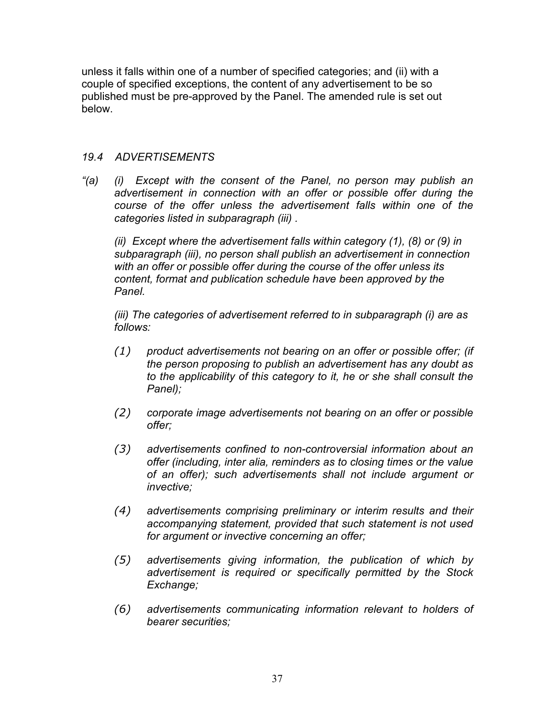unless it falls within one of a number of specified categories; and (ii) with a couple of specified exceptions, the content of any advertisement to be so published must be pre-approved by the Panel. The amended rule is set out below.

#### *19.4 ADVERTISEMENTS*

*"(a) (i) Except with the consent of the Panel, no person may publish an advertisement in connection with an offer or possible offer during the course of the offer unless the advertisement falls within one of the categories listed in subparagraph (iii) .* 

 *(ii) Except where the advertisement falls within category (1), (8) or (9) in subparagraph (iii), no person shall publish an advertisement in connection with an offer or possible offer during the course of the offer unless its content, format and publication schedule have been approved by the Panel.* 

*(iii) The categories of advertisement referred to in subparagraph (i) are as follows:* 

- *(1) product advertisements not bearing on an offer or possible offer; (if the person proposing to publish an advertisement has any doubt as to the applicability of this category to it, he or she shall consult the Panel);*
- *(2) corporate image advertisements not bearing on an offer or possible offer;*
- *(3) advertisements confined to non-controversial information about an offer (including, inter alia, reminders as to closing times or the value of an offer); such advertisements shall not include argument or invective;*
- *(4) advertisements comprising preliminary or interim results and their accompanying statement, provided that such statement is not used for argument or invective concerning an offer;*
- *(5) advertisements giving information, the publication of which by advertisement is required or specifically permitted by the Stock Exchange;*
- *(6) advertisements communicating information relevant to holders of bearer securities;*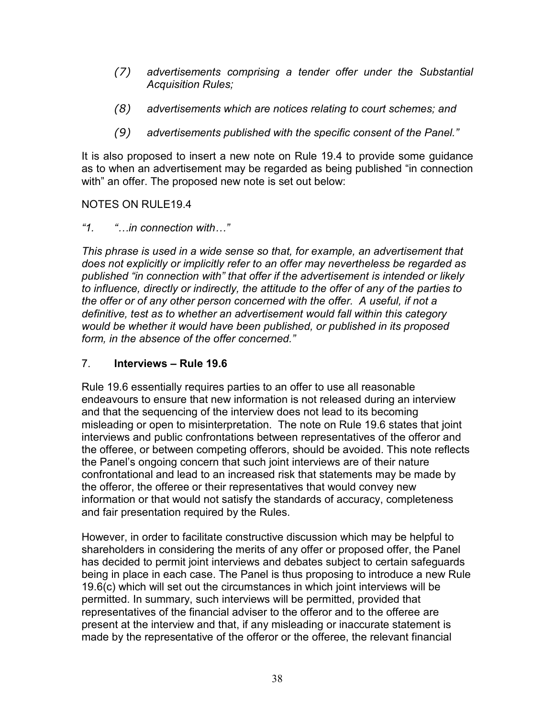- *(7) advertisements comprising a tender offer under the Substantial Acquisition Rules;*
- *(8) advertisements which are notices relating to court schemes; and*
- *(9) advertisements published with the specific consent of the Panel."*

It is also proposed to insert a new note on Rule 19.4 to provide some guidance as to when an advertisement may be regarded as being published "in connection with" an offer. The proposed new note is set out below:

#### NOTES ON RULE19.4

*"1. "…in connection with…"* 

*This phrase is used in a wide sense so that, for example, an advertisement that does not explicitly or implicitly refer to an offer may nevertheless be regarded as published "in connection with" that offer if the advertisement is intended or likely to influence, directly or indirectly, the attitude to the offer of any of the parties to the offer or of any other person concerned with the offer. A useful, if not a definitive, test as to whether an advertisement would fall within this category would be whether it would have been published, or published in its proposed form, in the absence of the offer concerned."* 

#### 7. **Interviews – Rule 19.6**

Rule 19.6 essentially requires parties to an offer to use all reasonable endeavours to ensure that new information is not released during an interview and that the sequencing of the interview does not lead to its becoming misleading or open to misinterpretation. The note on Rule 19.6 states that joint interviews and public confrontations between representatives of the offeror and the offeree, or between competing offerors, should be avoided. This note reflects the Panel's ongoing concern that such joint interviews are of their nature confrontational and lead to an increased risk that statements may be made by the offeror, the offeree or their representatives that would convey new information or that would not satisfy the standards of accuracy, completeness and fair presentation required by the Rules.

However, in order to facilitate constructive discussion which may be helpful to shareholders in considering the merits of any offer or proposed offer, the Panel has decided to permit joint interviews and debates subject to certain safeguards being in place in each case. The Panel is thus proposing to introduce a new Rule 19.6(c) which will set out the circumstances in which joint interviews will be permitted. In summary, such interviews will be permitted, provided that representatives of the financial adviser to the offeror and to the offeree are present at the interview and that, if any misleading or inaccurate statement is made by the representative of the offeror or the offeree, the relevant financial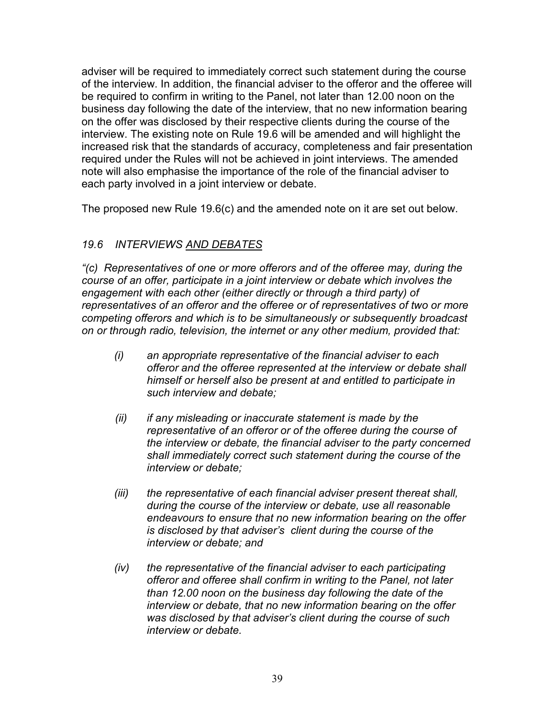adviser will be required to immediately correct such statement during the course of the interview. In addition, the financial adviser to the offeror and the offeree will be required to confirm in writing to the Panel, not later than 12.00 noon on the business day following the date of the interview, that no new information bearing on the offer was disclosed by their respective clients during the course of the interview. The existing note on Rule 19.6 will be amended and will highlight the increased risk that the standards of accuracy, completeness and fair presentation required under the Rules will not be achieved in joint interviews. The amended note will also emphasise the importance of the role of the financial adviser to each party involved in a joint interview or debate.

The proposed new Rule 19.6(c) and the amended note on it are set out below.

### *19.6 INTERVIEWS AND DEBATES*

*"(c) Representatives of one or more offerors and of the offeree may, during the course of an offer, participate in a joint interview or debate which involves the engagement with each other (either directly or through a third party) of representatives of an offeror and the offeree or of representatives of two or more competing offerors and which is to be simultaneously or subsequently broadcast on or through radio, television, the internet or any other medium, provided that:* 

- *(i) an appropriate representative of the financial adviser to each offeror and the offeree represented at the interview or debate shall himself or herself also be present at and entitled to participate in such interview and debate;*
- *(ii) if any misleading or inaccurate statement is made by the representative of an offeror or of the offeree during the course of the interview or debate, the financial adviser to the party concerned shall immediately correct such statement during the course of the interview or debate;*
- *(iii) the representative of each financial adviser present thereat shall, during the course of the interview or debate, use all reasonable endeavours to ensure that no new information bearing on the offer is disclosed by that adviser's client during the course of the interview or debate; and*
- *(iv) the representative of the financial adviser to each participating offeror and offeree shall confirm in writing to the Panel, not later than 12.00 noon on the business day following the date of the interview or debate, that no new information bearing on the offer was disclosed by that adviser's client during the course of such interview or debate.*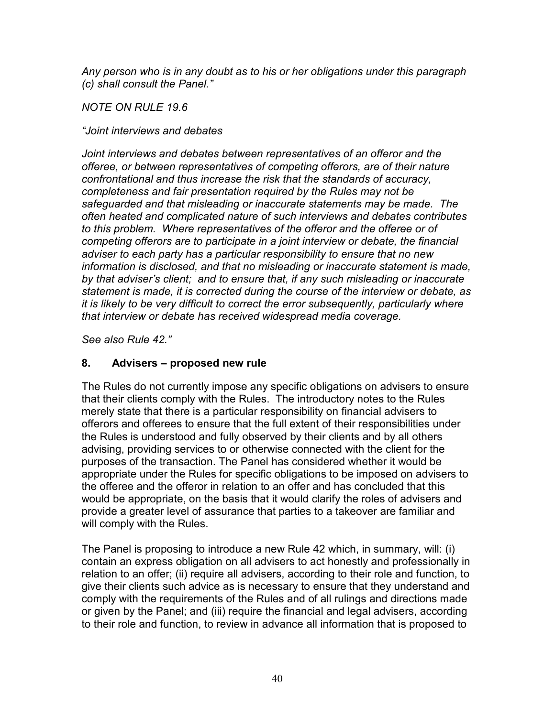*Any person who is in any doubt as to his or her obligations under this paragraph (c) shall consult the Panel."* 

*NOTE ON RULE 19.6* 

#### *"Joint interviews and debates*

*Joint interviews and debates between representatives of an offeror and the offeree, or between representatives of competing offerors, are of their nature confrontational and thus increase the risk that the standards of accuracy, completeness and fair presentation required by the Rules may not be safeguarded and that misleading or inaccurate statements may be made. The often heated and complicated nature of such interviews and debates contributes to this problem. Where representatives of the offeror and the offeree or of competing offerors are to participate in a joint interview or debate, the financial adviser to each party has a particular responsibility to ensure that no new information is disclosed, and that no misleading or inaccurate statement is made, by that adviser's client; and to ensure that, if any such misleading or inaccurate statement is made, it is corrected during the course of the interview or debate, as it is likely to be very difficult to correct the error subsequently, particularly where that interview or debate has received widespread media coverage.* 

*See also Rule 42."* 

### **8. Advisers – proposed new rule**

The Rules do not currently impose any specific obligations on advisers to ensure that their clients comply with the Rules. The introductory notes to the Rules merely state that there is a particular responsibility on financial advisers to offerors and offerees to ensure that the full extent of their responsibilities under the Rules is understood and fully observed by their clients and by all others advising, providing services to or otherwise connected with the client for the purposes of the transaction. The Panel has considered whether it would be appropriate under the Rules for specific obligations to be imposed on advisers to the offeree and the offeror in relation to an offer and has concluded that this would be appropriate, on the basis that it would clarify the roles of advisers and provide a greater level of assurance that parties to a takeover are familiar and will comply with the Rules.

The Panel is proposing to introduce a new Rule 42 which, in summary, will: (i) contain an express obligation on all advisers to act honestly and professionally in relation to an offer; (ii) require all advisers, according to their role and function, to give their clients such advice as is necessary to ensure that they understand and comply with the requirements of the Rules and of all rulings and directions made or given by the Panel; and (iii) require the financial and legal advisers, according to their role and function, to review in advance all information that is proposed to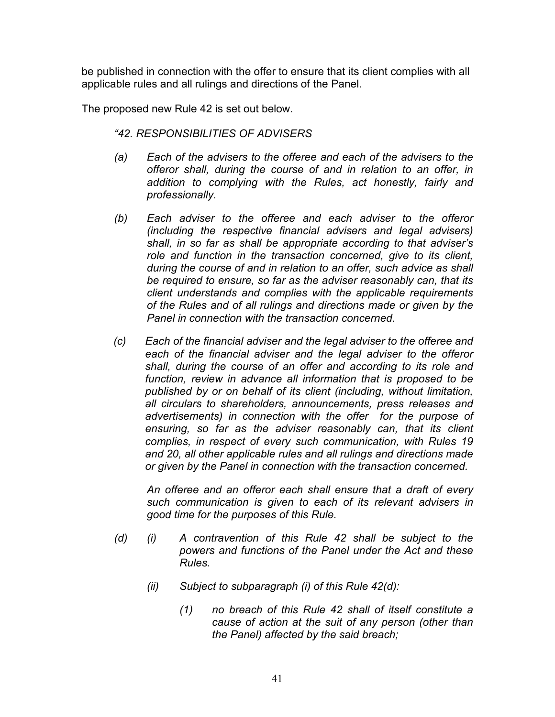be published in connection with the offer to ensure that its client complies with all applicable rules and all rulings and directions of the Panel.

The proposed new Rule 42 is set out below.

#### *"42. RESPONSIBILITIES OF ADVISERS*

- *(a) Each of the advisers to the offeree and each of the advisers to the offeror shall, during the course of and in relation to an offer, in addition to complying with the Rules, act honestly, fairly and professionally.*
- *(b) Each adviser to the offeree and each adviser to the offeror (including the respective financial advisers and legal advisers) shall, in so far as shall be appropriate according to that adviser's role and function in the transaction concerned, give to its client, during the course of and in relation to an offer, such advice as shall be required to ensure, so far as the adviser reasonably can, that its client understands and complies with the applicable requirements of the Rules and of all rulings and directions made or given by the Panel in connection with the transaction concerned.*
- *(c) Each of the financial adviser and the legal adviser to the offeree and each of the financial adviser and the legal adviser to the offeror shall, during the course of an offer and according to its role and function, review in advance all information that is proposed to be published by or on behalf of its client (including, without limitation, all circulars to shareholders, announcements, press releases and advertisements) in connection with the offer for the purpose of ensuring, so far as the adviser reasonably can, that its client complies, in respect of every such communication, with Rules 19 and 20, all other applicable rules and all rulings and directions made or given by the Panel in connection with the transaction concerned.*

*An offeree and an offeror each shall ensure that a draft of every such communication is given to each of its relevant advisers in good time for the purposes of this Rule.* 

- *(d) (i) A contravention of this Rule 42 shall be subject to the powers and functions of the Panel under the Act and these Rules.* 
	- *(ii) Subject to subparagraph (i) of this Rule 42(d):* 
		- *(1) no breach of this Rule 42 shall of itself constitute a cause of action at the suit of any person (other than the Panel) affected by the said breach;*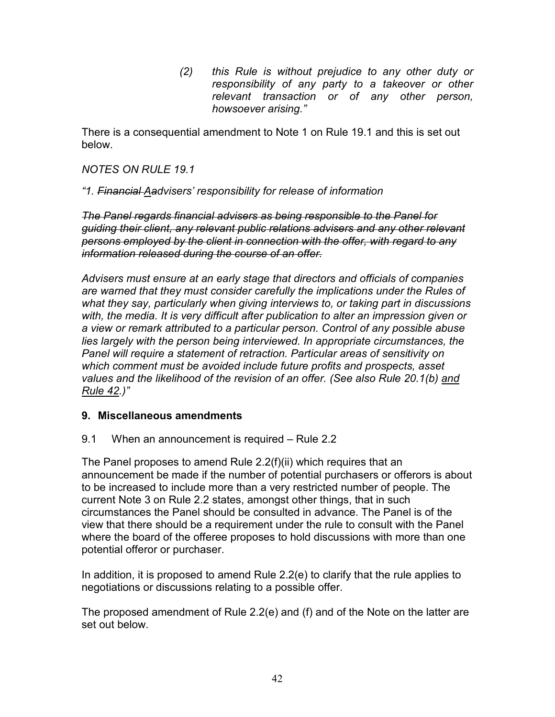*(2) this Rule is without prejudice to any other duty or responsibility of any party to a takeover or other relevant transaction or of any other person, howsoever arising."* 

There is a consequential amendment to Note 1 on Rule 19.1 and this is set out below.

### *NOTES ON RULE 19.1*

### *"1. Financial Aadvisers' responsibility for release of information*

*The Panel regards financial advisers as being responsible to the Panel for guiding their client, any relevant public relations advisers and any other relevant persons employed by the client in connection with the offer, with regard to any information released during the course of an offer.*

*Advisers must ensure at an early stage that directors and officials of companies are warned that they must consider carefully the implications under the Rules of what they say, particularly when giving interviews to, or taking part in discussions*  with, the media. It is very difficult after publication to alter an impression given or *a view or remark attributed to a particular person. Control of any possible abuse lies largely with the person being interviewed. In appropriate circumstances, the Panel will require a statement of retraction. Particular areas of sensitivity on which comment must be avoided include future profits and prospects, asset values and the likelihood of the revision of an offer. (See also Rule 20.1(b) and Rule 42.)"* 

#### **9. Miscellaneous amendments**

### 9.1 When an announcement is required – Rule 2.2

The Panel proposes to amend Rule 2.2(f)(ii) which requires that an announcement be made if the number of potential purchasers or offerors is about to be increased to include more than a very restricted number of people. The current Note 3 on Rule 2.2 states, amongst other things, that in such circumstances the Panel should be consulted in advance. The Panel is of the view that there should be a requirement under the rule to consult with the Panel where the board of the offeree proposes to hold discussions with more than one potential offeror or purchaser.

In addition, it is proposed to amend Rule 2.2(e) to clarify that the rule applies to negotiations or discussions relating to a possible offer.

The proposed amendment of Rule 2.2(e) and (f) and of the Note on the latter are set out below.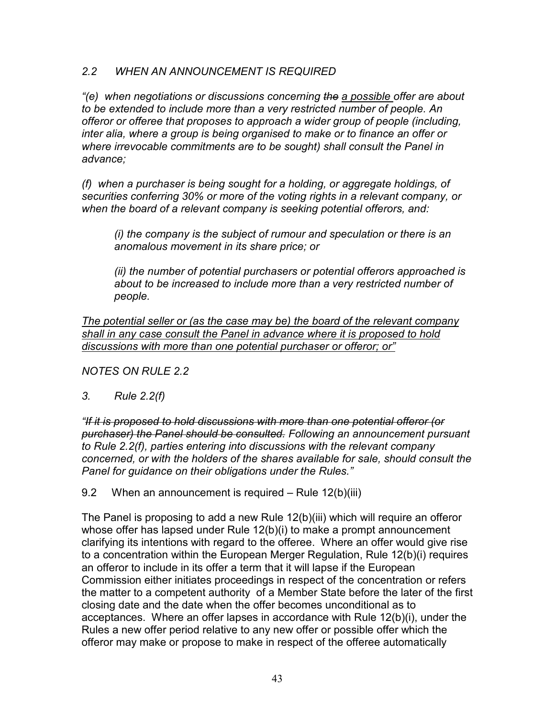#### *2.2 WHEN AN ANNOUNCEMENT IS REQUIRED*

*"(e) when negotiations or discussions concerning the a possible offer are about to be extended to include more than a very restricted number of people. An offeror or offeree that proposes to approach a wider group of people (including, inter alia, where a group is being organised to make or to finance an offer or where irrevocable commitments are to be sought) shall consult the Panel in advance;* 

*(f) when a purchaser is being sought for a holding, or aggregate holdings, of securities conferring 30% or more of the voting rights in a relevant company, or when the board of a relevant company is seeking potential offerors, and:* 

*(i) the company is the subject of rumour and speculation or there is an anomalous movement in its share price; or* 

*(ii) the number of potential purchasers or potential offerors approached is about to be increased to include more than a very restricted number of people.* 

*The potential seller or (as the case may be) the board of the relevant company shall in any case consult the Panel in advance where it is proposed to hold discussions with more than one potential purchaser or offeror; or"*

*NOTES ON RULE 2.2* 

*3. Rule 2.2(f)* 

*"If it is proposed to hold discussions with more than one potential offeror (or purchaser) the Panel should be consulted. Following an announcement pursuant to Rule 2.2(f), parties entering into discussions with the relevant company concerned, or with the holders of the shares available for sale, should consult the Panel for guidance on their obligations under the Rules."* 

9.2 When an announcement is required – Rule 12(b)(iii)

The Panel is proposing to add a new Rule 12(b)(iii) which will require an offeror whose offer has lapsed under Rule 12(b)(i) to make a prompt announcement clarifying its intentions with regard to the offeree. Where an offer would give rise to a concentration within the European Merger Regulation, Rule 12(b)(i) requires an offeror to include in its offer a term that it will lapse if the European Commission either initiates proceedings in respect of the concentration or refers the matter to a competent authority of a Member State before the later of the first closing date and the date when the offer becomes unconditional as to acceptances. Where an offer lapses in accordance with Rule 12(b)(i), under the Rules a new offer period relative to any new offer or possible offer which the offeror may make or propose to make in respect of the offeree automatically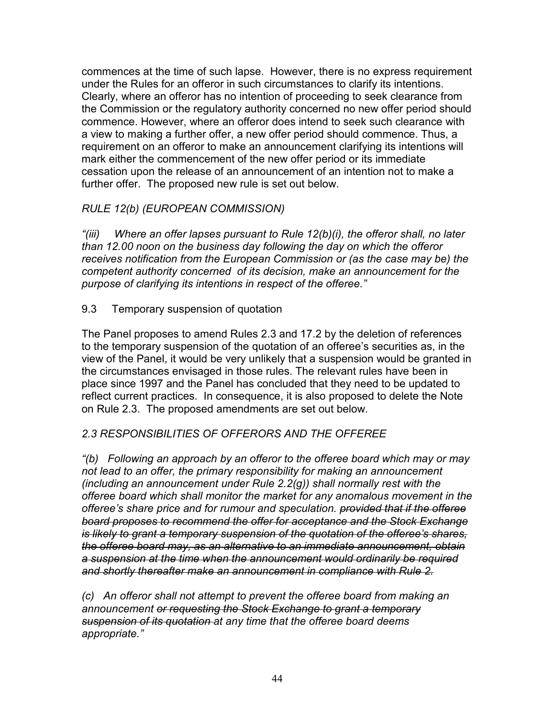commences at the time of such lapse. However, there is no express requirement under the Rules for an offeror in such circumstances to clarify its intentions. Clearly, where an offeror has no intention of proceeding to seek clearance from the Commission or the regulatory authority concerned no new offer period should commence. However, where an offeror does intend to seek such clearance with a view to making a further offer, a new offer period should commence. Thus, a requirement on an offeror to make an announcement clarifying its intentions will mark either the commencement of the new offer period or its immediate cessation upon the release of an announcement of an intention not to make a further offer. The proposed new rule is set out below.

### *RULE 12(b) (EUROPEAN COMMISSION)*

*"(iii) Where an offer lapses pursuant to Rule 12(b)(i), the offeror shall, no later than 12.00 noon on the business day following the day on which the offeror receives notification from the European Commission or (as the case may be) the competent authority concerned of its decision, make an announcement for the purpose of clarifying its intentions in respect of the offeree."* 

9.3 Temporary suspension of quotation

The Panel proposes to amend Rules 2.3 and 17.2 by the deletion of references to the temporary suspension of the quotation of an offeree's securities as, in the view of the Panel, it would be very unlikely that a suspension would be granted in the circumstances envisaged in those rules. The relevant rules have been in place since 1997 and the Panel has concluded that they need to be updated to reflect current practices. In consequence, it is also proposed to delete the Note on Rule 2.3. The proposed amendments are set out below.

### *2.3 RESPONSIBILITIES OF OFFERORS AND THE OFFEREE*

*"(b) Following an approach by an offeror to the offeree board which may or may not lead to an offer, the primary responsibility for making an announcement (including an announcement under Rule 2.2(g)) shall normally rest with the offeree board which shall monitor the market for any anomalous movement in the offeree's share price and for rumour and speculation. provided that if the offeree board proposes to recommend the offer for acceptance and the Stock Exchange is likely to grant a temporary suspension of the quotation of the offeree's shares, the offeree board may, as an alternative to an immediate announcement, obtain a suspension at the time when the announcement would ordinarily be required and shortly thereafter make an announcement in compliance with Rule 2.*

*(c) An offeror shall not attempt to prevent the offeree board from making an announcement or requesting the Stock Exchange to grant a temporary suspension of its quotation at any time that the offeree board deems appropriate."*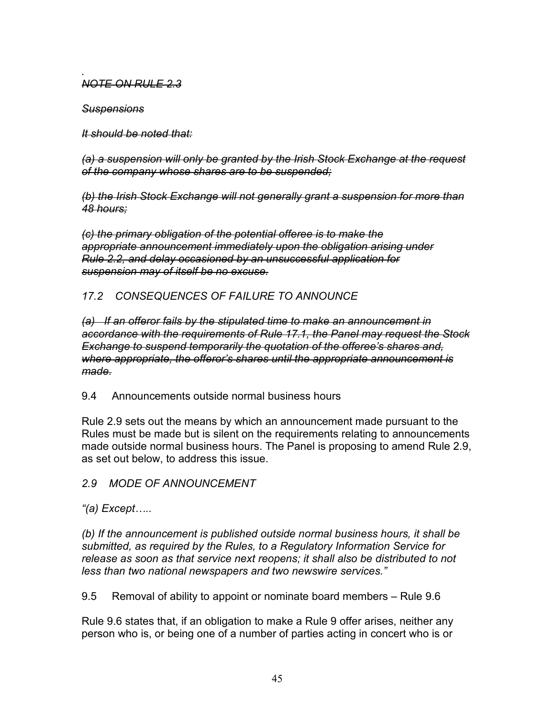#### *. NOTE ON RULE 2.3*

*Suspensions*

*It should be noted that:*

*(a) a suspension will only be granted by the Irish Stock Exchange at the request of the company whose shares are to be suspended;*

*(b) the Irish Stock Exchange will not generally grant a suspension for more than 48 hours;*

*(c) the primary obligation of the potential offeree is to make the appropriate announcement immediately upon the obligation arising under Rule 2.2, and delay occasioned by an unsuccessful application for suspension may of itself be no excuse.*

### *17.2 CONSEQUENCES OF FAILURE TO ANNOUNCE*

*(a) If an offeror fails by the stipulated time to make an announcement in accordance with the requirements of Rule 17.1, the Panel may request the Stock Exchange to suspend temporarily the quotation of the offeree's shares and, where appropriate, the offeror's shares until the appropriate announcement is made.*

9.4 Announcements outside normal business hours

Rule 2.9 sets out the means by which an announcement made pursuant to the Rules must be made but is silent on the requirements relating to announcements made outside normal business hours. The Panel is proposing to amend Rule 2.9, as set out below, to address this issue.

*2.9 MODE OF ANNOUNCEMENT* 

*"(a) Except…..* 

*(b) If the announcement is published outside normal business hours, it shall be submitted, as required by the Rules, to a Regulatory Information Service for release as soon as that service next reopens; it shall also be distributed to not less than two national newspapers and two newswire services."* 

9.5 Removal of ability to appoint or nominate board members – Rule 9.6

Rule 9.6 states that, if an obligation to make a Rule 9 offer arises, neither any person who is, or being one of a number of parties acting in concert who is or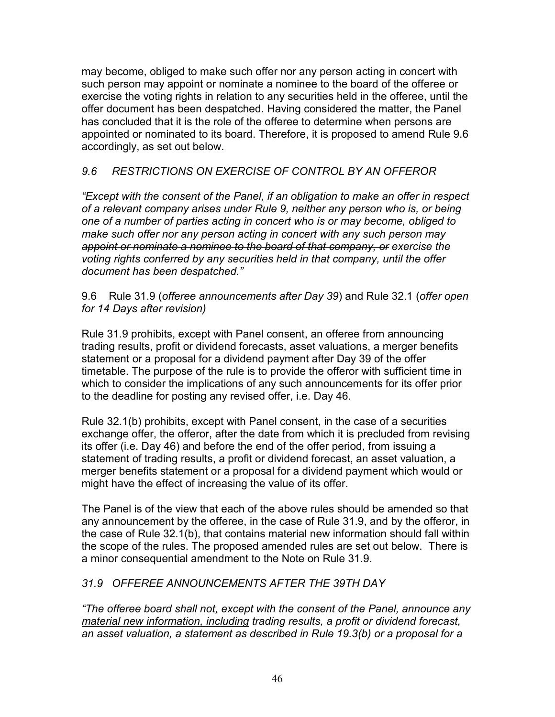may become, obliged to make such offer nor any person acting in concert with such person may appoint or nominate a nominee to the board of the offeree or exercise the voting rights in relation to any securities held in the offeree, until the offer document has been despatched. Having considered the matter, the Panel has concluded that it is the role of the offeree to determine when persons are appointed or nominated to its board. Therefore, it is proposed to amend Rule 9.6 accordingly, as set out below.

### *9.6 RESTRICTIONS ON EXERCISE OF CONTROL BY AN OFFEROR*

*"Except with the consent of the Panel, if an obligation to make an offer in respect of a relevant company arises under Rule 9, neither any person who is, or being one of a number of parties acting in concert who is or may become, obliged to make such offer nor any person acting in concert with any such person may appoint or nominate a nominee to the board of that company, or exercise the voting rights conferred by any securities held in that company, until the offer document has been despatched."* 

9.6 Rule 31.9 (*offeree announcements after Day 39*) and Rule 32.1 (*offer open for 14 Days after revision)* 

Rule 31.9 prohibits, except with Panel consent, an offeree from announcing trading results, profit or dividend forecasts, asset valuations, a merger benefits statement or a proposal for a dividend payment after Day 39 of the offer timetable. The purpose of the rule is to provide the offeror with sufficient time in which to consider the implications of any such announcements for its offer prior to the deadline for posting any revised offer, i.e. Day 46.

Rule 32.1(b) prohibits, except with Panel consent, in the case of a securities exchange offer, the offeror, after the date from which it is precluded from revising its offer (i.e. Day 46) and before the end of the offer period, from issuing a statement of trading results, a profit or dividend forecast, an asset valuation, a merger benefits statement or a proposal for a dividend payment which would or might have the effect of increasing the value of its offer.

The Panel is of the view that each of the above rules should be amended so that any announcement by the offeree, in the case of Rule 31.9, and by the offeror, in the case of Rule 32.1(b), that contains material new information should fall within the scope of the rules. The proposed amended rules are set out below. There is a minor consequential amendment to the Note on Rule 31.9.

### *31.9 OFFEREE ANNOUNCEMENTS AFTER THE 39TH DAY*

*"The offeree board shall not, except with the consent of the Panel, announce any material new information, including trading results, a profit or dividend forecast, an asset valuation, a statement as described in Rule 19.3(b) or a proposal for a*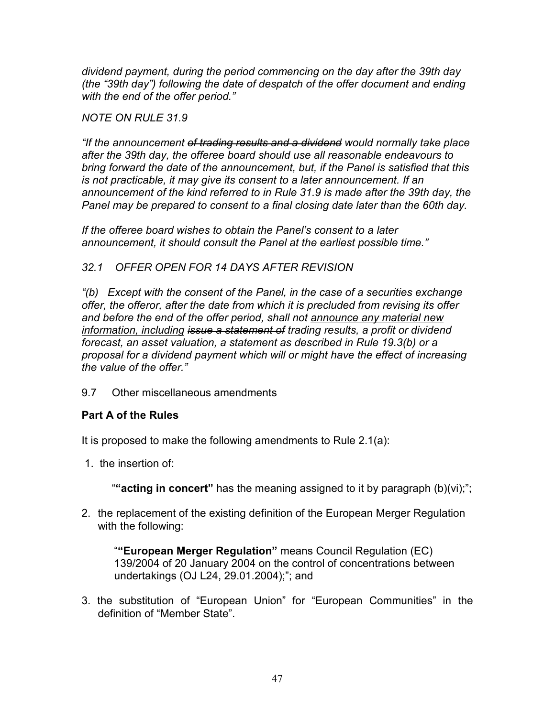*dividend payment, during the period commencing on the day after the 39th day (the "39th day") following the date of despatch of the offer document and ending with the end of the offer period."* 

#### *NOTE ON RULE 31.9*

*"If the announcement of trading results and a dividend would normally take place after the 39th day, the offeree board should use all reasonable endeavours to bring forward the date of the announcement, but, if the Panel is satisfied that this is not practicable, it may give its consent to a later announcement. If an*  announcement of the kind referred to in Rule 31.9 is made after the 39th day, the *Panel may be prepared to consent to a final closing date later than the 60th day.* 

*If the offeree board wishes to obtain the Panel's consent to a later announcement, it should consult the Panel at the earliest possible time."* 

#### *32.1 OFFER OPEN FOR 14 DAYS AFTER REVISION*

*"(b) Except with the consent of the Panel, in the case of a securities exchange offer, the offeror, after the date from which it is precluded from revising its offer and before the end of the offer period, shall not announce any material new information, including issue a statement of trading results, a profit or dividend forecast, an asset valuation, a statement as described in Rule 19.3(b) or a proposal for a dividend payment which will or might have the effect of increasing the value of the offer."* 

#### 9.7 Other miscellaneous amendments

### **Part A of the Rules**

It is proposed to make the following amendments to Rule 2.1(a):

1. the insertion of:

"**"acting in concert"** has the meaning assigned to it by paragraph (b)(vi);";

2. the replacement of the existing definition of the European Merger Regulation with the following:

"**"European Merger Regulation"** means Council Regulation (EC) 139/2004 of 20 January 2004 on the control of concentrations between undertakings (OJ L24, 29.01.2004);"; and

3. the substitution of "European Union" for "European Communities" in the definition of "Member State".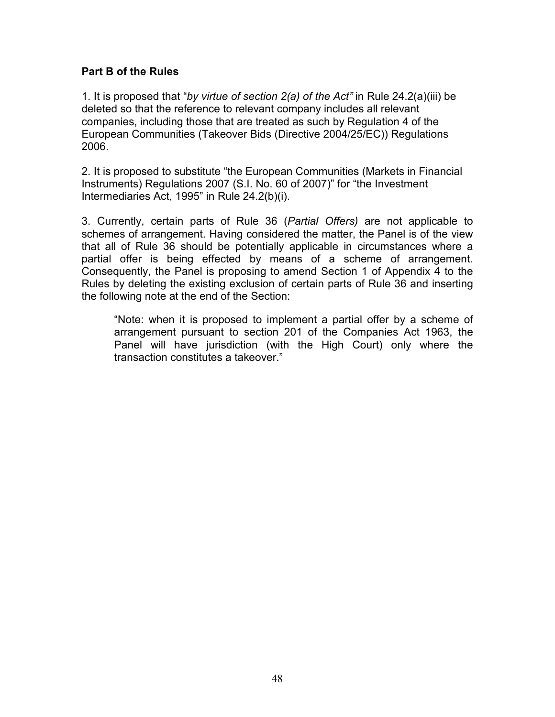#### **Part B of the Rules**

1. It is proposed that "*by virtue of section 2(a) of the Act"* in Rule 24.2(a)(iii) be deleted so that the reference to relevant company includes all relevant companies, including those that are treated as such by Regulation 4 of the European Communities (Takeover Bids (Directive 2004/25/EC)) Regulations 2006.

2. It is proposed to substitute "the European Communities (Markets in Financial Instruments) Regulations 2007 (S.I. No. 60 of 2007)" for "the Investment Intermediaries Act, 1995" in Rule 24.2(b)(i).

3. Currently, certain parts of Rule 36 (*Partial Offers)* are not applicable to schemes of arrangement. Having considered the matter, the Panel is of the view that all of Rule 36 should be potentially applicable in circumstances where a partial offer is being effected by means of a scheme of arrangement. Consequently, the Panel is proposing to amend Section 1 of Appendix 4 to the Rules by deleting the existing exclusion of certain parts of Rule 36 and inserting the following note at the end of the Section:

"Note: when it is proposed to implement a partial offer by a scheme of arrangement pursuant to section 201 of the Companies Act 1963, the Panel will have jurisdiction (with the High Court) only where the transaction constitutes a takeover."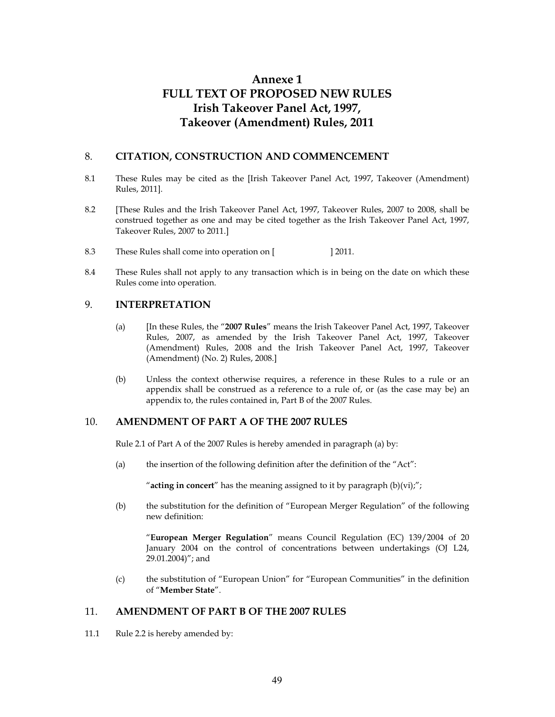### **Annexe 1 FULL TEXT OF PROPOSED NEW RULES Irish Takeover Panel Act, 1997, Takeover (Amendment) Rules, 2011**

#### 8. **CITATION, CONSTRUCTION AND COMMENCEMENT**

- 8.1 These Rules may be cited as the [Irish Takeover Panel Act, 1997, Takeover (Amendment) Rules, 2011].
- 8.2 [These Rules and the Irish Takeover Panel Act, 1997, Takeover Rules, 2007 to 2008, shall be construed together as one and may be cited together as the Irish Takeover Panel Act, 1997, Takeover Rules, 2007 to 2011.]
- 8.3 These Rules shall come into operation on [ ] 2011.
- 8.4 These Rules shall not apply to any transaction which is in being on the date on which these Rules come into operation.

#### 9. **INTERPRETATION**

- (a) [In these Rules, the "**2007 Rules**" means the Irish Takeover Panel Act, 1997, Takeover Rules, 2007, as amended by the Irish Takeover Panel Act, 1997, Takeover (Amendment) Rules, 2008 and the Irish Takeover Panel Act, 1997, Takeover (Amendment) (No. 2) Rules, 2008.]
- (b) Unless the context otherwise requires, a reference in these Rules to a rule or an appendix shall be construed as a reference to a rule of, or (as the case may be) an appendix to, the rules contained in, Part B of the 2007 Rules.

#### 10. **AMENDMENT OF PART A OF THE 2007 RULES**

Rule 2.1 of Part A of the 2007 Rules is hereby amended in paragraph (a) by:

(a) the insertion of the following definition after the definition of the "Act":

"**acting in concert**" has the meaning assigned to it by paragraph (b)(vi);";

(b) the substitution for the definition of "European Merger Regulation" of the following new definition:

"**European Merger Regulation**" means Council Regulation (EC) 139/2004 of 20 January 2004 on the control of concentrations between undertakings (OJ L24, 29.01.2004)"; and

(c) the substitution of "European Union" for "European Communities" in the definition of "**Member State**".

#### 11. **AMENDMENT OF PART B OF THE 2007 RULES**

11.1 Rule 2.2 is hereby amended by: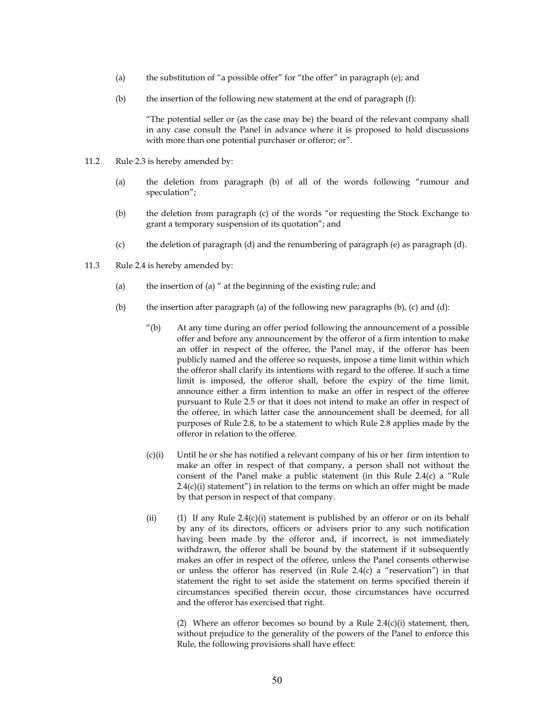- (a) the substitution of "a possible offer" for "the offer" in paragraph (e); and
- (b) the insertion of the following new statement at the end of paragraph (f):

"The potential seller or (as the case may be) the board of the relevant company shall in any case consult the Panel in advance where it is proposed to hold discussions with more than one potential purchaser or offeror; or".

- 11.2 Rule 2.3 is hereby amended by:
	- (a) the deletion from paragraph (b) of all of the words following "rumour and speculation";
	- (b) the deletion from paragraph (c) of the words "or requesting the Stock Exchange to grant a temporary suspension of its quotation"; and
	- (c) the deletion of paragraph (d) and the renumbering of paragraph (e) as paragraph (d).
- 11.3 Rule 2.4 is hereby amended by:
	- (a) the insertion of (a) " at the beginning of the existing rule; and
	- (b) the insertion after paragraph (a) of the following new paragraphs (b), (c) and (d):
		- "(b) At any time during an offer period following the announcement of a possible offer and before any announcement by the offeror of a firm intention to make an offer in respect of the offeree, the Panel may, if the offeror has been publicly named and the offeree so requests, impose a time limit within which the offeror shall clarify its intentions with regard to the offeree. If such a time limit is imposed, the offeror shall, before the expiry of the time limit, announce either a firm intention to make an offer in respect of the offeree pursuant to Rule 2.5 or that it does not intend to make an offer in respect of the offeree, in which latter case the announcement shall be deemed, for all purposes of Rule 2.8, to be a statement to which Rule 2.8 applies made by the offeror in relation to the offeree.
		- (c)(i) Until he or she has notified a relevant company of his or her firm intention to make an offer in respect of that company, a person shall not without the consent of the Panel make a public statement (in this Rule 2.4(c) a "Rule  $2.4(c)(i)$  statement") in relation to the terms on which an offer might be made by that person in respect of that company.
		- (ii) (1) If any Rule  $2.4(c)(i)$  statement is published by an offeror or on its behalf by any of its directors, officers or advisers prior to any such notification having been made by the offeror and, if incorrect, is not immediately withdrawn, the offeror shall be bound by the statement if it subsequently makes an offer in respect of the offeree, unless the Panel consents otherwise or unless the offeror has reserved (in Rule  $2.4(c)$  a "reservation") in that statement the right to set aside the statement on terms specified therein if circumstances specified therein occur, those circumstances have occurred and the offeror has exercised that right.

(2) Where an offeror becomes so bound by a Rule  $2.4(c)(i)$  statement, then, without prejudice to the generality of the powers of the Panel to enforce this Rule, the following provisions shall have effect: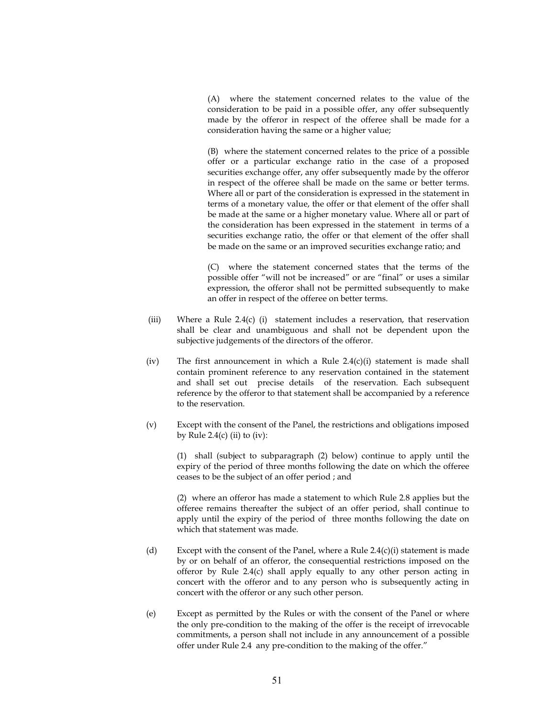(A) where the statement concerned relates to the value of the consideration to be paid in a possible offer, any offer subsequently made by the offeror in respect of the offeree shall be made for a consideration having the same or a higher value;

(B) where the statement concerned relates to the price of a possible offer or a particular exchange ratio in the case of a proposed securities exchange offer, any offer subsequently made by the offeror in respect of the offeree shall be made on the same or better terms. Where all or part of the consideration is expressed in the statement in terms of a monetary value, the offer or that element of the offer shall be made at the same or a higher monetary value. Where all or part of the consideration has been expressed in the statement in terms of a securities exchange ratio, the offer or that element of the offer shall be made on the same or an improved securities exchange ratio; and

(C) where the statement concerned states that the terms of the possible offer "will not be increased" or are "final" or uses a similar expression, the offeror shall not be permitted subsequently to make an offer in respect of the offeree on better terms.

- (iii) Where a Rule 2.4(c) (i) statement includes a reservation, that reservation shall be clear and unambiguous and shall not be dependent upon the subjective judgements of the directors of the offeror.
- (iv) The first announcement in which a Rule  $2.4(c)(i)$  statement is made shall contain prominent reference to any reservation contained in the statement and shall set out precise details of the reservation. Each subsequent reference by the offeror to that statement shall be accompanied by a reference to the reservation.
- (v) Except with the consent of the Panel, the restrictions and obligations imposed by Rule  $2.4(c)$  (ii) to (iv):

(1) shall (subject to subparagraph (2) below) continue to apply until the expiry of the period of three months following the date on which the offeree ceases to be the subject of an offer period ; and

(2) where an offeror has made a statement to which Rule 2.8 applies but the offeree remains thereafter the subject of an offer period, shall continue to apply until the expiry of the period of three months following the date on which that statement was made.

- (d) Except with the consent of the Panel, where a Rule  $2.4(c)(i)$  statement is made by or on behalf of an offeror, the consequential restrictions imposed on the offeror by Rule 2.4(c) shall apply equally to any other person acting in concert with the offeror and to any person who is subsequently acting in concert with the offeror or any such other person.
- (e) Except as permitted by the Rules or with the consent of the Panel or where the only pre-condition to the making of the offer is the receipt of irrevocable commitments, a person shall not include in any announcement of a possible offer under Rule 2.4 any pre-condition to the making of the offer."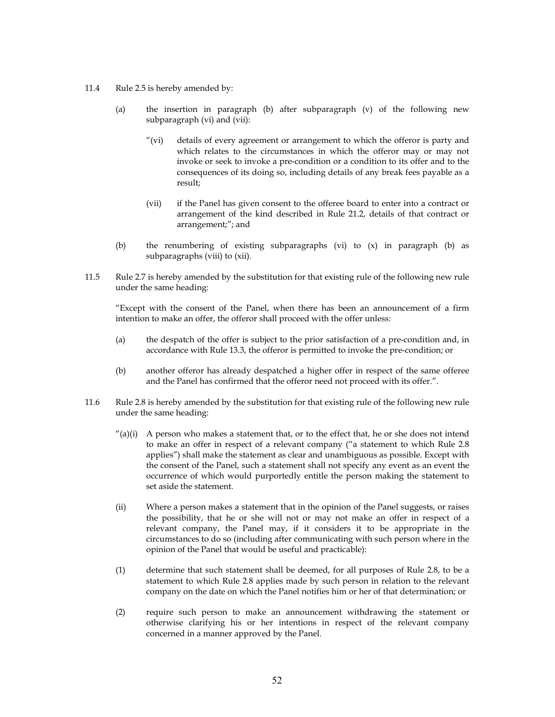- 11.4 Rule 2.5 is hereby amended by:
	- (a) the insertion in paragraph (b) after subparagraph (v) of the following new subparagraph (vi) and (vii):
		- "(vi) details of every agreement or arrangement to which the offeror is party and which relates to the circumstances in which the offeror may or may not invoke or seek to invoke a pre-condition or a condition to its offer and to the consequences of its doing so, including details of any break fees payable as a result;
		- (vii) if the Panel has given consent to the offeree board to enter into a contract or arrangement of the kind described in Rule 21.2, details of that contract or arrangement;"; and
	- (b) the renumbering of existing subparagraphs (vi) to (x) in paragraph (b) as subparagraphs (viii) to (xii).
- 11.5 Rule 2.7 is hereby amended by the substitution for that existing rule of the following new rule under the same heading:

"Except with the consent of the Panel, when there has been an announcement of a firm intention to make an offer, the offeror shall proceed with the offer unless:

- (a) the despatch of the offer is subject to the prior satisfaction of a pre-condition and, in accordance with Rule 13.3, the offeror is permitted to invoke the pre-condition; or
- (b) another offeror has already despatched a higher offer in respect of the same offeree and the Panel has confirmed that the offeror need not proceed with its offer.".
- 11.6 Rule 2.8 is hereby amended by the substitution for that existing rule of the following new rule under the same heading:
	- $\pi$ (a)(i) A person who makes a statement that, or to the effect that, he or she does not intend to make an offer in respect of a relevant company ("a statement to which Rule 2.8 applies") shall make the statement as clear and unambiguous as possible. Except with the consent of the Panel, such a statement shall not specify any event as an event the occurrence of which would purportedly entitle the person making the statement to set aside the statement.
	- (ii) Where a person makes a statement that in the opinion of the Panel suggests, or raises the possibility, that he or she will not or may not make an offer in respect of a relevant company, the Panel may, if it considers it to be appropriate in the circumstances to do so (including after communicating with such person where in the opinion of the Panel that would be useful and practicable):
	- (1) determine that such statement shall be deemed, for all purposes of Rule 2.8, to be a statement to which Rule 2.8 applies made by such person in relation to the relevant company on the date on which the Panel notifies him or her of that determination; or
	- (2) require such person to make an announcement withdrawing the statement or otherwise clarifying his or her intentions in respect of the relevant company concerned in a manner approved by the Panel.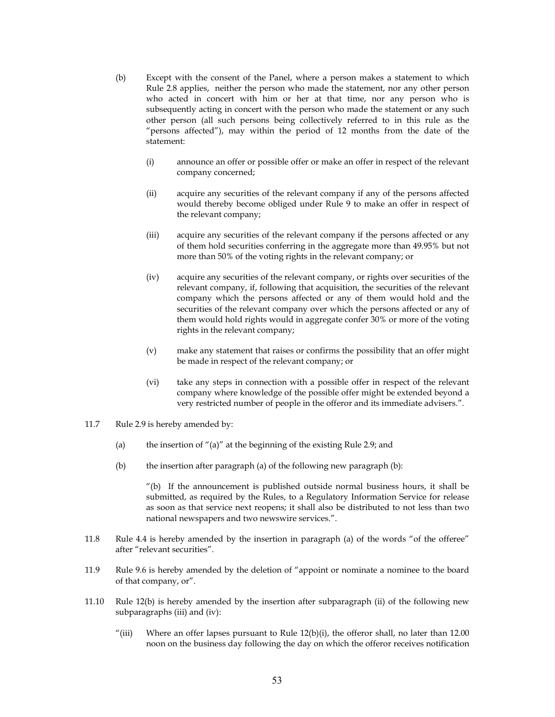- (b) Except with the consent of the Panel, where a person makes a statement to which Rule 2.8 applies, neither the person who made the statement, nor any other person who acted in concert with him or her at that time, nor any person who is subsequently acting in concert with the person who made the statement or any such other person (all such persons being collectively referred to in this rule as the "persons affected"), may within the period of 12 months from the date of the statement:
	- (i) announce an offer or possible offer or make an offer in respect of the relevant company concerned;
	- (ii) acquire any securities of the relevant company if any of the persons affected would thereby become obliged under Rule 9 to make an offer in respect of the relevant company;
	- (iii) acquire any securities of the relevant company if the persons affected or any of them hold securities conferring in the aggregate more than 49.95% but not more than 50% of the voting rights in the relevant company; or
	- (iv) acquire any securities of the relevant company, or rights over securities of the relevant company, if, following that acquisition, the securities of the relevant company which the persons affected or any of them would hold and the securities of the relevant company over which the persons affected or any of them would hold rights would in aggregate confer 30% or more of the voting rights in the relevant company;
	- (v) make any statement that raises or confirms the possibility that an offer might be made in respect of the relevant company; or
	- (vi) take any steps in connection with a possible offer in respect of the relevant company where knowledge of the possible offer might be extended beyond a very restricted number of people in the offeror and its immediate advisers.".
- 11.7 Rule 2.9 is hereby amended by:
	- (a) the insertion of "(a)" at the beginning of the existing Rule 2.9; and
	- (b) the insertion after paragraph (a) of the following new paragraph (b):

"(b) If the announcement is published outside normal business hours, it shall be submitted, as required by the Rules, to a Regulatory Information Service for release as soon as that service next reopens; it shall also be distributed to not less than two national newspapers and two newswire services.".

- 11.8 Rule 4.4 is hereby amended by the insertion in paragraph (a) of the words "of the offeree" after "relevant securities".
- 11.9 Rule 9.6 is hereby amended by the deletion of "appoint or nominate a nominee to the board of that company, or".
- 11.10 Rule 12(b) is hereby amended by the insertion after subparagraph (ii) of the following new subparagraphs (iii) and (iv):
	- "(iii) Where an offer lapses pursuant to Rule  $12(b)(i)$ , the offeror shall, no later than  $12.00$ noon on the business day following the day on which the offeror receives notification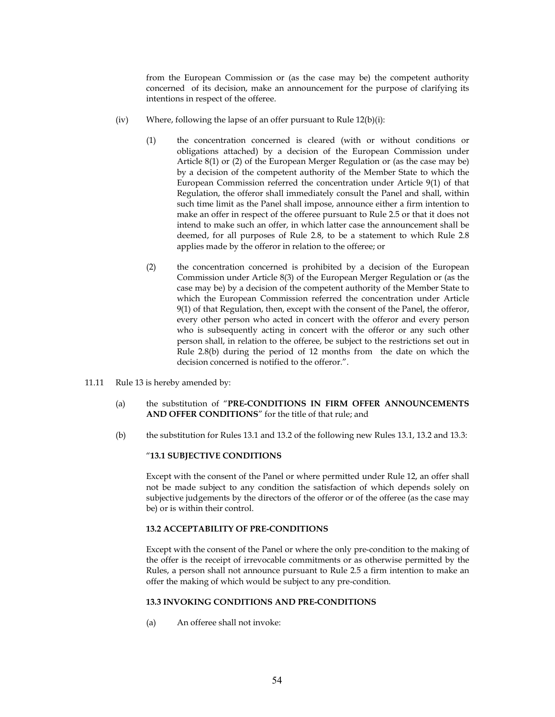from the European Commission or (as the case may be) the competent authority concerned of its decision, make an announcement for the purpose of clarifying its intentions in respect of the offeree.

- (iv) Where, following the lapse of an offer pursuant to Rule 12(b)(i):
	- (1) the concentration concerned is cleared (with or without conditions or obligations attached) by a decision of the European Commission under Article 8(1) or (2) of the European Merger Regulation or (as the case may be) by a decision of the competent authority of the Member State to which the European Commission referred the concentration under Article 9(1) of that Regulation, the offeror shall immediately consult the Panel and shall, within such time limit as the Panel shall impose, announce either a firm intention to make an offer in respect of the offeree pursuant to Rule 2.5 or that it does not intend to make such an offer, in which latter case the announcement shall be deemed, for all purposes of Rule 2.8, to be a statement to which Rule 2.8 applies made by the offeror in relation to the offeree; or
	- (2) the concentration concerned is prohibited by a decision of the European Commission under Article 8(3) of the European Merger Regulation or (as the case may be) by a decision of the competent authority of the Member State to which the European Commission referred the concentration under Article 9(1) of that Regulation, then, except with the consent of the Panel, the offeror, every other person who acted in concert with the offeror and every person who is subsequently acting in concert with the offeror or any such other person shall, in relation to the offeree, be subject to the restrictions set out in Rule 2.8(b) during the period of 12 months from the date on which the decision concerned is notified to the offeror.".
- 11.11 Rule 13 is hereby amended by:
	- (a) the substitution of "**PRE-CONDITIONS IN FIRM OFFER ANNOUNCEMENTS AND OFFER CONDITIONS**" for the title of that rule; and
	- (b) the substitution for Rules 13.1 and 13.2 of the following new Rules 13.1, 13.2 and 13.3:

#### "**13.1 SUBJECTIVE CONDITIONS**

Except with the consent of the Panel or where permitted under Rule 12, an offer shall not be made subject to any condition the satisfaction of which depends solely on subjective judgements by the directors of the offeror or of the offeree (as the case may be) or is within their control.

#### **13.2 ACCEPTABILITY OF PRE-CONDITIONS**

Except with the consent of the Panel or where the only pre-condition to the making of the offer is the receipt of irrevocable commitments or as otherwise permitted by the Rules, a person shall not announce pursuant to Rule 2.5 a firm intention to make an offer the making of which would be subject to any pre-condition.

#### **13.3 INVOKING CONDITIONS AND PRE-CONDITIONS**

(a) An offeree shall not invoke: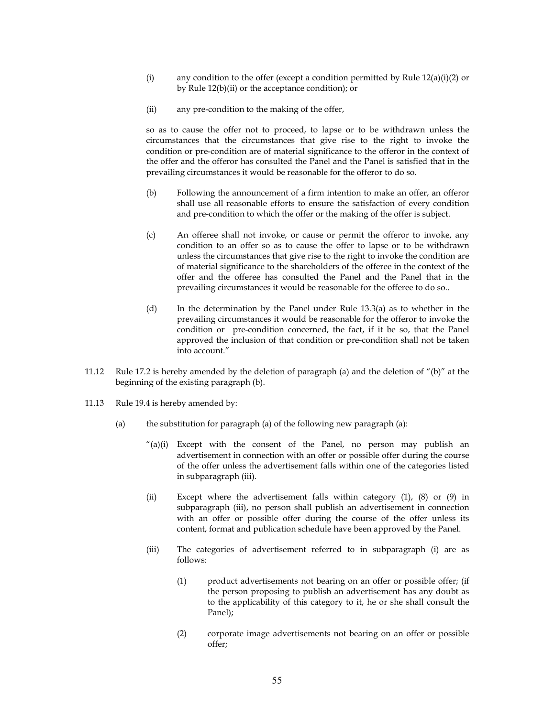- (i) any condition to the offer (except a condition permitted by Rule  $12(a)(i)(2)$  or by Rule 12(b)(ii) or the acceptance condition); or
- (ii) any pre-condition to the making of the offer,

so as to cause the offer not to proceed, to lapse or to be withdrawn unless the circumstances that the circumstances that give rise to the right to invoke the condition or pre-condition are of material significance to the offeror in the context of the offer and the offeror has consulted the Panel and the Panel is satisfied that in the prevailing circumstances it would be reasonable for the offeror to do so.

- (b) Following the announcement of a firm intention to make an offer, an offeror shall use all reasonable efforts to ensure the satisfaction of every condition and pre-condition to which the offer or the making of the offer is subject.
- (c) An offeree shall not invoke, or cause or permit the offeror to invoke, any condition to an offer so as to cause the offer to lapse or to be withdrawn unless the circumstances that give rise to the right to invoke the condition are of material significance to the shareholders of the offeree in the context of the offer and the offeree has consulted the Panel and the Panel that in the prevailing circumstances it would be reasonable for the offeree to do so..
- (d) In the determination by the Panel under Rule 13.3(a) as to whether in the prevailing circumstances it would be reasonable for the offeror to invoke the condition or pre-condition concerned, the fact, if it be so, that the Panel approved the inclusion of that condition or pre-condition shall not be taken into account."
- 11.12 Rule 17.2 is hereby amended by the deletion of paragraph (a) and the deletion of "(b)" at the beginning of the existing paragraph (b).
- 11.13 Rule 19.4 is hereby amended by:
	- (a) the substitution for paragraph (a) of the following new paragraph (a):
		- $\alpha$ (a)(i) Except with the consent of the Panel, no person may publish an advertisement in connection with an offer or possible offer during the course of the offer unless the advertisement falls within one of the categories listed in subparagraph (iii).
		- (ii) Except where the advertisement falls within category (1), (8) or (9) in subparagraph (iii), no person shall publish an advertisement in connection with an offer or possible offer during the course of the offer unless its content, format and publication schedule have been approved by the Panel.
		- (iii) The categories of advertisement referred to in subparagraph (i) are as follows:
			- (1) product advertisements not bearing on an offer or possible offer; (if the person proposing to publish an advertisement has any doubt as to the applicability of this category to it, he or she shall consult the Panel);
			- (2) corporate image advertisements not bearing on an offer or possible offer;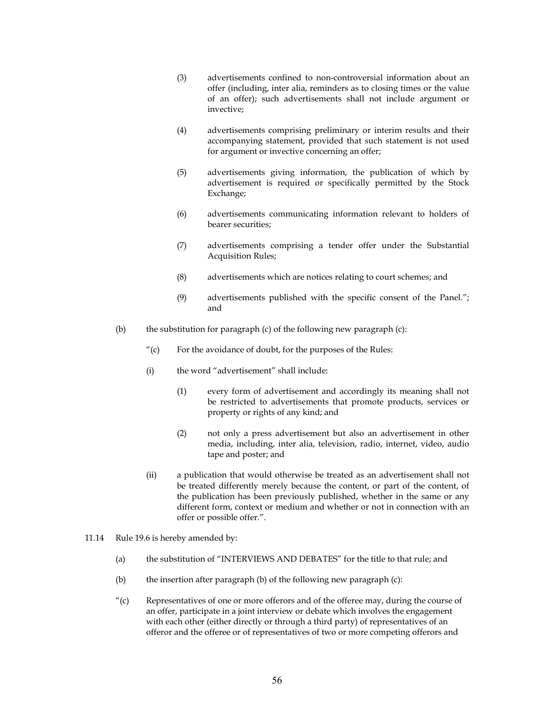- (3) advertisements confined to non-controversial information about an offer (including, inter alia, reminders as to closing times or the value of an offer); such advertisements shall not include argument or invective;
- (4) advertisements comprising preliminary or interim results and their accompanying statement, provided that such statement is not used for argument or invective concerning an offer;
- (5) advertisements giving information, the publication of which by advertisement is required or specifically permitted by the Stock Exchange;
- (6) advertisements communicating information relevant to holders of bearer securities;
- (7) advertisements comprising a tender offer under the Substantial Acquisition Rules;
- (8) advertisements which are notices relating to court schemes; and
- (9) advertisements published with the specific consent of the Panel."; and
- (b) the substitution for paragraph (c) of the following new paragraph (c):
	- $''(c)$  For the avoidance of doubt, for the purposes of the Rules:
	- (i) the word "advertisement" shall include:
		- (1) every form of advertisement and accordingly its meaning shall not be restricted to advertisements that promote products, services or property or rights of any kind; and
		- (2) not only a press advertisement but also an advertisement in other media, including, inter alia, television, radio, internet, video, audio tape and poster; and
	- (ii) a publication that would otherwise be treated as an advertisement shall not be treated differently merely because the content, or part of the content, of the publication has been previously published, whether in the same or any different form, context or medium and whether or not in connection with an offer or possible offer.".
- 11.14 Rule 19.6 is hereby amended by:
	- (a) the substitution of "INTERVIEWS AND DEBATES" for the title to that rule; and
	- (b) the insertion after paragraph (b) of the following new paragraph (c):
	- "(c) Representatives of one or more offerors and of the offeree may, during the course of an offer, participate in a joint interview or debate which involves the engagement with each other (either directly or through a third party) of representatives of an offeror and the offeree or of representatives of two or more competing offerors and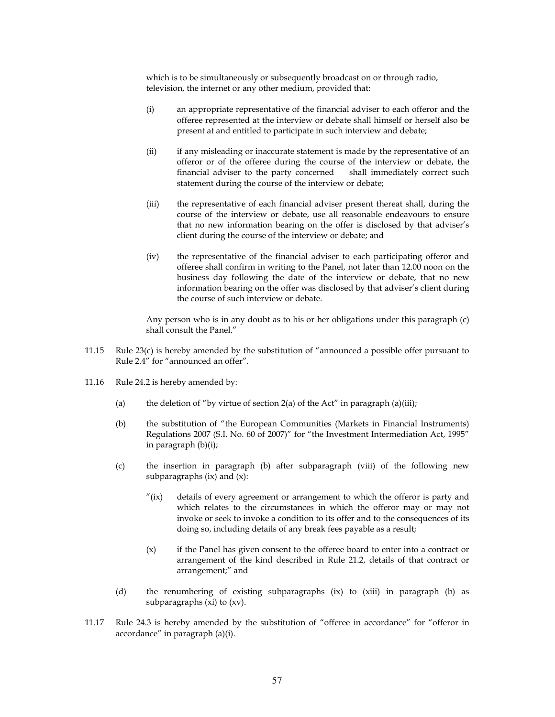which is to be simultaneously or subsequently broadcast on or through radio, television, the internet or any other medium, provided that:

- (i) an appropriate representative of the financial adviser to each offeror and the offeree represented at the interview or debate shall himself or herself also be present at and entitled to participate in such interview and debate;
- (ii) if any misleading or inaccurate statement is made by the representative of an offeror or of the offeree during the course of the interview or debate, the financial adviser to the party concerned shall immediately correct such statement during the course of the interview or debate;
- (iii) the representative of each financial adviser present thereat shall, during the course of the interview or debate, use all reasonable endeavours to ensure that no new information bearing on the offer is disclosed by that adviser's client during the course of the interview or debate; and
- (iv) the representative of the financial adviser to each participating offeror and offeree shall confirm in writing to the Panel, not later than 12.00 noon on the business day following the date of the interview or debate, that no new information bearing on the offer was disclosed by that adviser's client during the course of such interview or debate.

Any person who is in any doubt as to his or her obligations under this paragraph (c) shall consult the Panel."

- 11.15 Rule 23(c) is hereby amended by the substitution of "announced a possible offer pursuant to Rule 2.4" for "announced an offer".
- 11.16 Rule 24.2 is hereby amended by:
	- (a) the deletion of "by virtue of section  $2(a)$  of the Act" in paragraph  $(a)$ (iii);
	- (b) the substitution of "the European Communities (Markets in Financial Instruments) Regulations 2007 (S.I. No. 60 of 2007)" for "the Investment Intermediation Act, 1995" in paragraph (b)(i);
	- (c) the insertion in paragraph (b) after subparagraph (viii) of the following new subparagraphs (ix) and (x):
		- "(ix) details of every agreement or arrangement to which the offeror is party and which relates to the circumstances in which the offeror may or may not invoke or seek to invoke a condition to its offer and to the consequences of its doing so, including details of any break fees payable as a result;
		- (x) if the Panel has given consent to the offeree board to enter into a contract or arrangement of the kind described in Rule 21.2, details of that contract or arrangement;" and
	- (d) the renumbering of existing subparagraphs (ix) to (xiii) in paragraph (b) as subparagraphs (xi) to (xv).
- 11.17 Rule 24.3 is hereby amended by the substitution of "offeree in accordance" for "offeror in accordance" in paragraph (a)(i).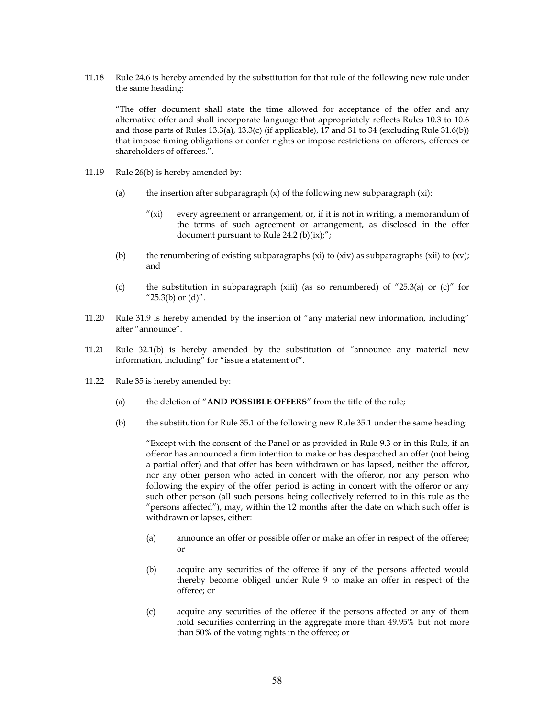11.18 Rule 24.6 is hereby amended by the substitution for that rule of the following new rule under the same heading:

"The offer document shall state the time allowed for acceptance of the offer and any alternative offer and shall incorporate language that appropriately reflects Rules 10.3 to 10.6 and those parts of Rules 13.3(a), 13.3(c) (if applicable), 17 and 31 to 34 (excluding Rule 31.6(b)) that impose timing obligations or confer rights or impose restrictions on offerors, offerees or shareholders of offerees.".

- 11.19 Rule 26(b) is hereby amended by:
	- (a) the insertion after subparagraph  $(x)$  of the following new subparagraph  $(xi)$ :
		- "(xi) every agreement or arrangement, or, if it is not in writing, a memorandum of the terms of such agreement or arrangement, as disclosed in the offer document pursuant to Rule 24.2 (b)(ix);";
	- (b) the renumbering of existing subparagraphs  $(xi)$  to  $(xiv)$  as subparagraphs  $(xii)$  to  $(xv)$ ; and
	- (c) the substitution in subparagraph (xiii) (as so renumbered) of "25.3(a) or  $(c)$ " for " $25.3(b)$  or  $(d)$ ".
- 11.20 Rule 31.9 is hereby amended by the insertion of "any material new information, including" after "announce".
- 11.21 Rule 32.1(b) is hereby amended by the substitution of "announce any material new information, including" for "issue a statement of".
- 11.22 Rule 35 is hereby amended by:
	- (a) the deletion of "**AND POSSIBLE OFFERS**" from the title of the rule;
	- (b) the substitution for Rule 35.1 of the following new Rule 35.1 under the same heading:

"Except with the consent of the Panel or as provided in Rule 9.3 or in this Rule, if an offeror has announced a firm intention to make or has despatched an offer (not being a partial offer) and that offer has been withdrawn or has lapsed, neither the offeror, nor any other person who acted in concert with the offeror, nor any person who following the expiry of the offer period is acting in concert with the offeror or any such other person (all such persons being collectively referred to in this rule as the "persons affected"), may, within the 12 months after the date on which such offer is withdrawn or lapses, either:

- (a) announce an offer or possible offer or make an offer in respect of the offeree; or
- (b) acquire any securities of the offeree if any of the persons affected would thereby become obliged under Rule 9 to make an offer in respect of the offeree; or
- (c) acquire any securities of the offeree if the persons affected or any of them hold securities conferring in the aggregate more than 49.95% but not more than 50% of the voting rights in the offeree; or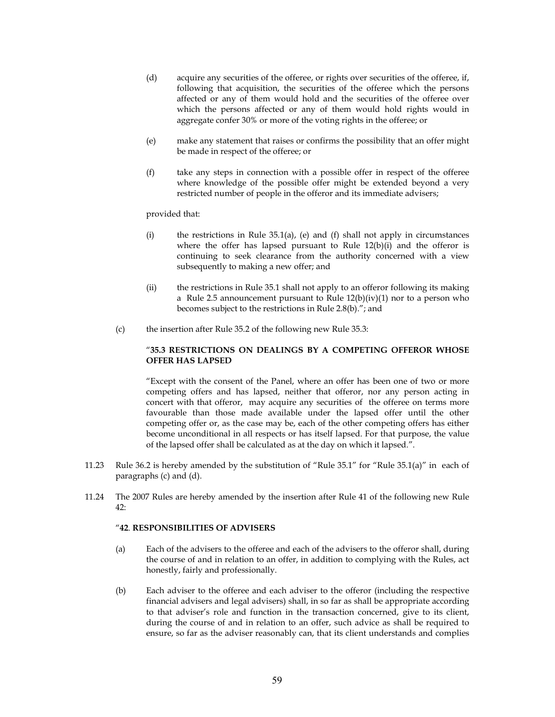- (d) acquire any securities of the offeree, or rights over securities of the offeree, if, following that acquisition, the securities of the offeree which the persons affected or any of them would hold and the securities of the offeree over which the persons affected or any of them would hold rights would in aggregate confer 30% or more of the voting rights in the offeree; or
- (e) make any statement that raises or confirms the possibility that an offer might be made in respect of the offeree; or
- (f) take any steps in connection with a possible offer in respect of the offeree where knowledge of the possible offer might be extended beyond a very restricted number of people in the offeror and its immediate advisers;

provided that:

- (i) the restrictions in Rule  $35.1(a)$ , (e) and (f) shall not apply in circumstances where the offer has lapsed pursuant to Rule  $12(b)(i)$  and the offeror is continuing to seek clearance from the authority concerned with a view subsequently to making a new offer; and
- (ii) the restrictions in Rule 35.1 shall not apply to an offeror following its making a Rule 2.5 announcement pursuant to Rule 12(b)(iv)(1) nor to a person who becomes subject to the restrictions in Rule 2.8(b)."; and
- (c) the insertion after Rule 35.2 of the following new Rule 35.3:

#### "**35.3 RESTRICTIONS ON DEALINGS BY A COMPETING OFFEROR WHOSE OFFER HAS LAPSED**

"Except with the consent of the Panel, where an offer has been one of two or more competing offers and has lapsed, neither that offeror, nor any person acting in concert with that offeror, may acquire any securities of the offeree on terms more favourable than those made available under the lapsed offer until the other competing offer or, as the case may be, each of the other competing offers has either become unconditional in all respects or has itself lapsed. For that purpose, the value of the lapsed offer shall be calculated as at the day on which it lapsed.".

- 11.23 Rule 36.2 is hereby amended by the substitution of "Rule 35.1" for "Rule 35.1(a)" in each of paragraphs (c) and (d).
- 11.24 The 2007 Rules are hereby amended by the insertion after Rule 41 of the following new Rule 42:

#### "**42**. **RESPONSIBILITIES OF ADVISERS**

- (a) Each of the advisers to the offeree and each of the advisers to the offeror shall, during the course of and in relation to an offer, in addition to complying with the Rules, act honestly, fairly and professionally.
- (b) Each adviser to the offeree and each adviser to the offeror (including the respective financial advisers and legal advisers) shall, in so far as shall be appropriate according to that adviser's role and function in the transaction concerned, give to its client, during the course of and in relation to an offer, such advice as shall be required to ensure, so far as the adviser reasonably can, that its client understands and complies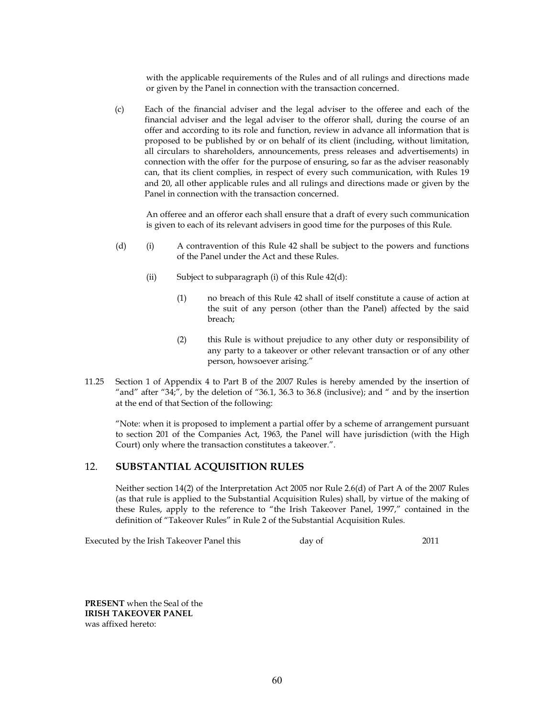with the applicable requirements of the Rules and of all rulings and directions made or given by the Panel in connection with the transaction concerned.

(c) Each of the financial adviser and the legal adviser to the offeree and each of the financial adviser and the legal adviser to the offeror shall, during the course of an offer and according to its role and function, review in advance all information that is proposed to be published by or on behalf of its client (including, without limitation, all circulars to shareholders, announcements, press releases and advertisements) in connection with the offer for the purpose of ensuring, so far as the adviser reasonably can, that its client complies, in respect of every such communication, with Rules 19 and 20, all other applicable rules and all rulings and directions made or given by the Panel in connection with the transaction concerned.

An offeree and an offeror each shall ensure that a draft of every such communication is given to each of its relevant advisers in good time for the purposes of this Rule.

- (d) (i) A contravention of this Rule 42 shall be subject to the powers and functions of the Panel under the Act and these Rules.
	- (ii) Subject to subparagraph (i) of this Rule  $42(d)$ :
		- (1) no breach of this Rule 42 shall of itself constitute a cause of action at the suit of any person (other than the Panel) affected by the said breach;
		- (2) this Rule is without prejudice to any other duty or responsibility of any party to a takeover or other relevant transaction or of any other person, howsoever arising."
- 11.25 Section 1 of Appendix 4 to Part B of the 2007 Rules is hereby amended by the insertion of "and" after "34;", by the deletion of "36.1, 36.3 to 36.8 (inclusive); and " and by the insertion at the end of that Section of the following:

"Note: when it is proposed to implement a partial offer by a scheme of arrangement pursuant to section 201 of the Companies Act, 1963, the Panel will have jurisdiction (with the High Court) only where the transaction constitutes a takeover.".

#### 12. **SUBSTANTIAL ACQUISITION RULES**

Neither section 14(2) of the Interpretation Act 2005 nor Rule 2.6(d) of Part A of the 2007 Rules (as that rule is applied to the Substantial Acquisition Rules) shall, by virtue of the making of these Rules, apply to the reference to "the Irish Takeover Panel, 1997," contained in the definition of "Takeover Rules" in Rule 2 of the Substantial Acquisition Rules.

Executed by the Irish Takeover Panel this day of 2011

**PRESENT** when the Seal of the **IRISH TAKEOVER PANEL** was affixed hereto: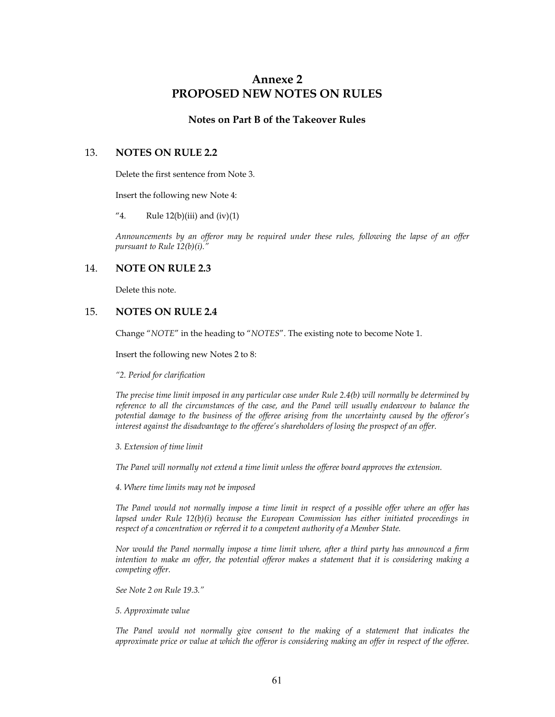#### **Annexe 2 PROPOSED NEW NOTES ON RULES**

#### **Notes on Part B of the Takeover Rules**

#### 13. **NOTES ON RULE 2.2**

Delete the first sentence from Note 3.

Insert the following new Note 4:

"4. Rule  $12(b)(iii)$  and  $(iv)(1)$ 

*Announcements by an offeror may be required under these rules, following the lapse of an offer pursuant to Rule 12(b)(i)."* 

#### 14. **NOTE ON RULE 2.3**

Delete this note.

#### 15. **NOTES ON RULE 2.4**

Change "*NOTE*" in the heading to "*NOTES*". The existing note to become Note 1.

Insert the following new Notes 2 to 8:

*"2. Period for clarification* 

*The precise time limit imposed in any particular case under Rule 2.4(b) will normally be determined by reference to all the circumstances of the case, and the Panel will usually endeavour to balance the potential damage to the business of the offeree arising from the uncertainty caused by the offeror's interest against the disadvantage to the offeree's shareholders of losing the prospect of an offer.* 

#### *3. Extension of time limit*

*The Panel will normally not extend a time limit unless the offeree board approves the extension.* 

*4. Where time limits may not be imposed* 

*The Panel would not normally impose a time limit in respect of a possible offer where an offer has lapsed under Rule 12(b)(i) because the European Commission has either initiated proceedings in respect of a concentration or referred it to a competent authority of a Member State.* 

*Nor would the Panel normally impose a time limit where, after a third party has announced a firm intention to make an offer, the potential offeror makes a statement that it is considering making a competing offer.* 

*See Note 2 on Rule 19.3."* 

*5. Approximate value* 

*The Panel would not normally give consent to the making of a statement that indicates the approximate price or value at which the offeror is considering making an offer in respect of the offeree.*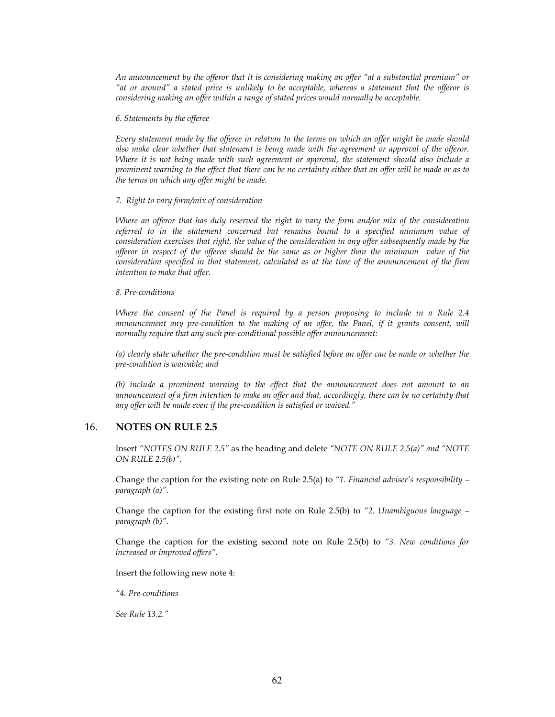*An announcement by the offeror that it is considering making an offer "at a substantial premium" or "at or around" a stated price is unlikely to be acceptable, whereas a statement that the offeror is considering making an offer within a range of stated prices would normally be acceptable.* 

*6. Statements by the offeree* 

*Every statement made by the offeree in relation to the terms on which an offer might be made should also make clear whether that statement is being made with the agreement or approval of the offeror. Where it is not being made with such agreement or approval, the statement should also include a prominent warning to the effect that there can be no certainty either that an offer will be made or as to the terms on which any offer might be made.* 

#### *7. Right to vary form/mix of consideration*

*Where an offeror that has duly reserved the right to vary the form and/or mix of the consideration referred to in the statement concerned but remains bound to a specified minimum value of consideration exercises that right, the value of the consideration in any offer subsequently made by the offeror in respect of the offeree should be the same as or higher than the minimum value of the consideration specified in that statement, calculated as at the time of the announcement of the firm intention to make that offer.* 

*8. Pre-conditions* 

*Where the consent of the Panel is required by a person proposing to include in a Rule 2.4*  announcement any pre-condition to the making of an offer, the Panel, if it grants consent, will *normally require that any such pre-conditional possible offer announcement:* 

*(a) clearly state whether the pre-condition must be satisfied before an offer can be made or whether the pre-condition is waivable; and* 

*(b) include a prominent warning to the effect that the announcement does not amount to an announcement of a firm intention to make an offer and that, accordingly, there can be no certainty that any offer will be made even if the pre-condition is satisfied or waived."* 

#### 16. **NOTES ON RULE 2.5**

Insert *"NOTES ON RULE 2.5"* as the heading and delete *"NOTE ON RULE 2.5(a)" and "NOTE ON RULE 2.5(b)".* 

Change the caption for the existing note on Rule 2.5(a) to *"1. Financial adviser's responsibility – paragraph (a)".* 

Change the caption for the existing first note on Rule 2.5(b) to *"2. Unambiguous language – paragraph (b)".* 

Change the caption for the existing second note on Rule 2.5(b) to *"3. New conditions for increased or improved offers".* 

Insert the following new note 4:

*"4. Pre-conditions* 

*See Rule 13.2."*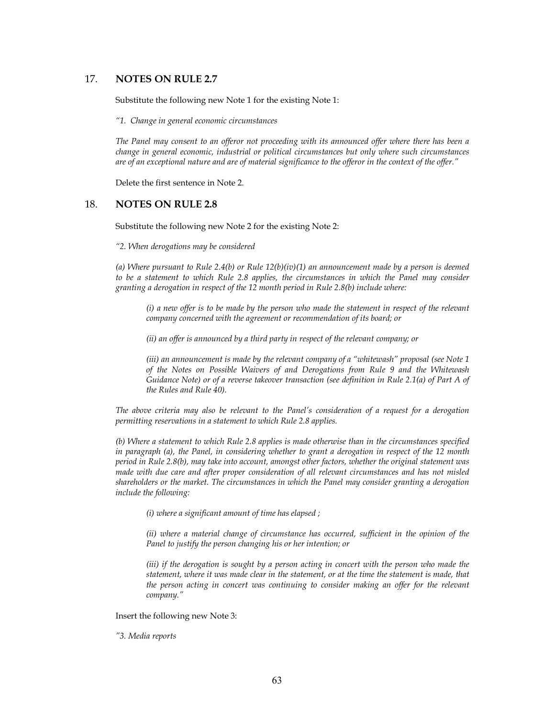#### 17. **NOTES ON RULE 2.7**

Substitute the following new Note 1 for the existing Note 1:

*"1. Change in general economic circumstances* 

*The Panel may consent to an offeror not proceeding with its announced offer where there has been a change in general economic, industrial or political circumstances but only where such circumstances are of an exceptional nature and are of material significance to the offeror in the context of the offer."* 

Delete the first sentence in Note 2.

#### 18. **NOTES ON RULE 2.8**

Substitute the following new Note 2 for the existing Note 2:

*"2. When derogations may be considered* 

*(a) Where pursuant to Rule 2.4(b) or Rule 12(b)(iv)(1) an announcement made by a person is deemed*  to be a statement to which Rule 2.8 applies, the circumstances in which the Panel may consider *granting a derogation in respect of the 12 month period in Rule 2.8(b) include where:* 

*(i) a new offer is to be made by the person who made the statement in respect of the relevant company concerned with the agreement or recommendation of its board; or* 

*(ii) an offer is announced by a third party in respect of the relevant company; or* 

*(iii) an announcement is made by the relevant company of a "whitewash" proposal (see Note 1 of the Notes on Possible Waivers of and Derogations from Rule 9 and the Whitewash Guidance Note) or of a reverse takeover transaction (see definition in Rule 2.1(a) of Part A of the Rules and Rule 40).* 

*The above criteria may also be relevant to the Panel's consideration of a request for a derogation permitting reservations in a statement to which Rule 2.8 applies.* 

*(b) Where a statement to which Rule 2.8 applies is made otherwise than in the circumstances specified in paragraph (a), the Panel, in considering whether to grant a derogation in respect of the 12 month period in Rule 2.8(b), may take into account, amongst other factors, whether the original statement was made with due care and after proper consideration of all relevant circumstances and has not misled shareholders or the market. The circumstances in which the Panel may consider granting a derogation include the following:* 

*(i) where a significant amount of time has elapsed ;* 

*(ii) where a material change of circumstance has occurred, sufficient in the opinion of the Panel to justify the person changing his or her intention; or* 

*(iii) if the derogation is sought by a person acting in concert with the person who made the statement, where it was made clear in the statement, or at the time the statement is made, that the person acting in concert was continuing to consider making an offer for the relevant company."* 

Insert the following new Note 3:

*"3. Media reports*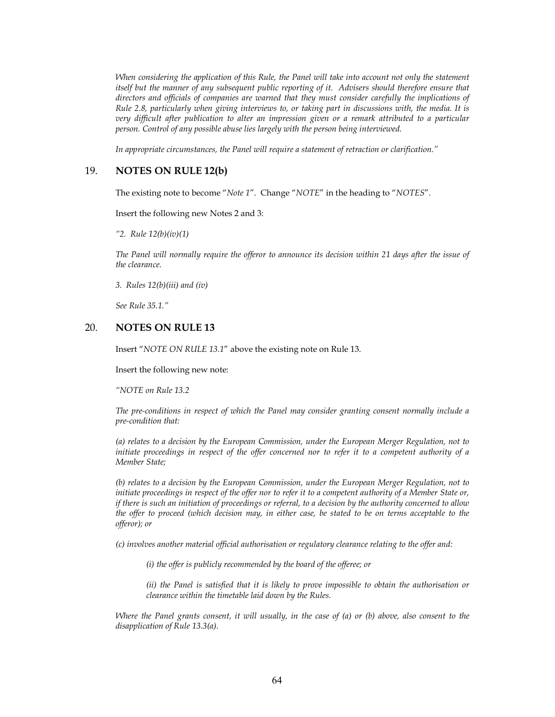*When considering the application of this Rule, the Panel will take into account not only the statement itself but the manner of any subsequent public reporting of it. Advisers should therefore ensure that directors and officials of companies are warned that they must consider carefully the implications of Rule 2.8, particularly when giving interviews to, or taking part in discussions with, the media. It is very difficult after publication to alter an impression given or a remark attributed to a particular person. Control of any possible abuse lies largely with the person being interviewed.* 

*In appropriate circumstances, the Panel will require a statement of retraction or clarification."* 

#### 19. **NOTES ON RULE 12(b)**

The existing note to become "*Note 1*". Change "*NOTE*" in the heading to "*NOTES*".

Insert the following new Notes 2 and 3:

*"2. Rule 12(b)(iv)(1)* 

*The Panel will normally require the offeror to announce its decision within 21 days after the issue of the clearance.* 

*3. Rules 12(b)(iii) and (iv)* 

*See Rule 35.1."* 

#### 20. **NOTES ON RULE 13**

Insert "*NOTE ON RULE 13.1*" above the existing note on Rule 13.

Insert the following new note:

*"NOTE on Rule 13.2* 

*The pre-conditions in respect of which the Panel may consider granting consent normally include a pre-condition that:* 

*(a) relates to a decision by the European Commission, under the European Merger Regulation, not to initiate proceedings in respect of the offer concerned nor to refer it to a competent authority of a Member State;* 

*(b) relates to a decision by the European Commission, under the European Merger Regulation, not to initiate proceedings in respect of the offer nor to refer it to a competent authority of a Member State or, if there is such an initiation of proceedings or referral, to a decision by the authority concerned to allow the offer to proceed (which decision may, in either case, be stated to be on terms acceptable to the offeror); or* 

*(c) involves another material official authorisation or regulatory clearance relating to the offer and:* 

*(i) the offer is publicly recommended by the board of the offeree; or* 

*(ii) the Panel is satisfied that it is likely to prove impossible to obtain the authorisation or clearance within the timetable laid down by the Rules.* 

*Where the Panel grants consent, it will usually, in the case of (a) or (b) above, also consent to the disapplication of Rule 13.3(a).*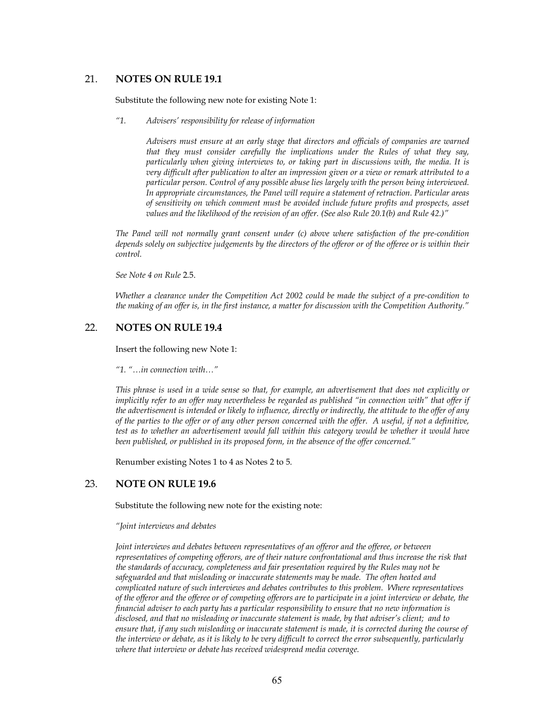#### 21. **NOTES ON RULE 19.1**

Substitute the following new note for existing Note 1:

*"1. Advisers' responsibility for release of information* 

*Advisers must ensure at an early stage that directors and officials of companies are warned that they must consider carefully the implications under the Rules of what they say, particularly when giving interviews to, or taking part in discussions with, the media. It is very difficult after publication to alter an impression given or a view or remark attributed to a particular person. Control of any possible abuse lies largely with the person being interviewed. In appropriate circumstances, the Panel will require a statement of retraction. Particular areas of sensitivity on which comment must be avoided include future profits and prospects, asset values and the likelihood of the revision of an offer. (See also Rule 20.1(b) and Rule 42.)"* 

*The Panel will not normally grant consent under (c) above where satisfaction of the pre-condition depends solely on subjective judgements by the directors of the offeror or of the offeree or is within their control.* 

*See Note 4 on Rule* 2.5.

*Whether a clearance under the Competition Act 2002 could be made the subject of a pre-condition to the making of an offer is, in the first instance, a matter for discussion with the Competition Authority."* 

#### 22. **NOTES ON RULE 19.4**

Insert the following new Note 1:

*"1. "…in connection with…"* 

*This phrase is used in a wide sense so that, for example, an advertisement that does not explicitly or implicitly refer to an offer may nevertheless be regarded as published "in connection with" that offer if the advertisement is intended or likely to influence, directly or indirectly, the attitude to the offer of any of the parties to the offer or of any other person concerned with the offer. A useful, if not a definitive, test as to whether an advertisement would fall within this category would be whether it would have been published, or published in its proposed form, in the absence of the offer concerned."* 

Renumber existing Notes 1 to 4 as Notes 2 to 5.

#### 23. **NOTE ON RULE 19.6**

Substitute the following new note for the existing note:

*"Joint interviews and debates* 

*Joint interviews and debates between representatives of an offeror and the offeree, or between representatives of competing offerors, are of their nature confrontational and thus increase the risk that the standards of accuracy, completeness and fair presentation required by the Rules may not be safeguarded and that misleading or inaccurate statements may be made. The often heated and complicated nature of such interviews and debates contributes to this problem. Where representatives of the offeror and the offeree or of competing offerors are to participate in a joint interview or debate, the financial adviser to each party has a particular responsibility to ensure that no new information is disclosed, and that no misleading or inaccurate statement is made, by that adviser's client; and to ensure that, if any such misleading or inaccurate statement is made, it is corrected during the course of the interview or debate, as it is likely to be very difficult to correct the error subsequently, particularly where that interview or debate has received widespread media coverage.*